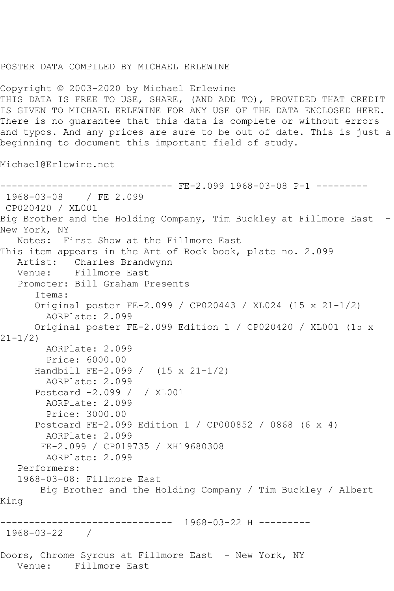## POSTER DATA COMPILED BY MICHAEL ERLEWINE

Copyright © 2003-2020 by Michael Erlewine THIS DATA IS FREE TO USE, SHARE, (AND ADD TO), PROVIDED THAT CREDIT IS GIVEN TO MICHAEL ERLEWINE FOR ANY USE OF THE DATA ENCLOSED HERE. There is no guarantee that this data is complete or without errors and typos. And any prices are sure to be out of date. This is just a beginning to document this important field of study.

Michael@Erlewine.net

------------------------------ FE-2.099 1968-03-08 P-1 --------- 1968-03-08 / FE 2.099 CP020420 / XL001 Big Brother and the Holding Company, Tim Buckley at Fillmore East -New York, NY Notes: First Show at the Fillmore East This item appears in the Art of Rock book, plate no. 2.099 Artist: Charles Brandwynn Venue: Fillmore East Promoter: Bill Graham Presents Items: Original poster FE-2.099 / CP020443 / XL024 (15 x 21-1/2) AORPlate: 2.099 Original poster FE-2.099 Edition 1 / CP020420 / XL001 (15 x  $21 - 1/2$  AORPlate: 2.099 Price: 6000.00 Handbill FE-2.099 / (15 x 21-1/2) AORPlate: 2.099 Postcard -2.099 / / XL001 AORPlate: 2.099 Price: 3000.00 Postcard FE-2.099 Edition 1 / CP000852 / 0868 (6 x 4) AORPlate: 2.099 FE-2.099 / CP019735 / XH19680308 AORPlate: 2.099 Performers: 1968-03-08: Fillmore East Big Brother and the Holding Company / Tim Buckley / Albert King ------------------------------ 1968-03-22 H --------- 1968-03-22 / Doors, Chrome Syrcus at Fillmore East - New York, NY Venue: Fillmore East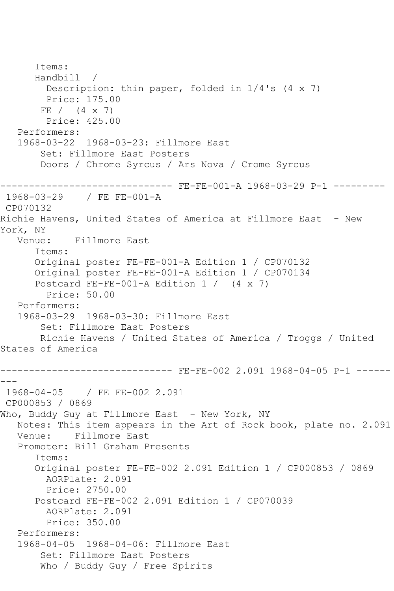```
 Items:
       Handbill / 
         Description: thin paper, folded in 1/4's (4 x 7)
         Price: 175.00
       FE / (4 x 7)
         Price: 425.00
   Performers:
   1968-03-22 1968-03-23: Fillmore East
        Set: Fillmore East Posters
        Doors / Chrome Syrcus / Ars Nova / Crome Syrcus
------------------------------ FE-FE-001-A 1968-03-29 P-1 ---------
1968-03-29 / FE FE-001-A
CP070132
Richie Havens, United States of America at Fillmore East - New 
York, NY
   Venue: Fillmore East
       Items:
       Original poster FE-FE-001-A Edition 1 / CP070132
      Original poster FE-FE-001-A Edition 1 / CP070134
       Postcard FE-FE-001-A Edition 1 / (4 x 7)
         Price: 50.00
   Performers:
   1968-03-29 1968-03-30: Fillmore East
        Set: Fillmore East Posters
        Richie Havens / United States of America / Troggs / United 
States of America
------------------------------ FE-FE-002 2.091 1968-04-05 P-1 ------
- -1968-04-05 / FE FE-002 2.091
CP000853 / 0869
Who, Buddy Guy at Fillmore East - New York, NY
   Notes: This item appears in the Art of Rock book, plate no. 2.091
   Venue: Fillmore East
   Promoter: Bill Graham Presents
       Items:
       Original poster FE-FE-002 2.091 Edition 1 / CP000853 / 0869
        AORPlate: 2.091 
         Price: 2750.00
       Postcard FE-FE-002 2.091 Edition 1 / CP070039
         AORPlate: 2.091 
         Price: 350.00
   Performers:
   1968-04-05 1968-04-06: Fillmore East
        Set: Fillmore East Posters
        Who / Buddy Guy / Free Spirits
```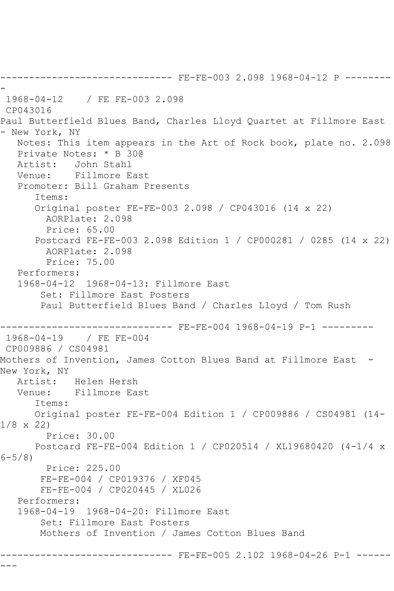------------------------------ FE-FE-003 2.098 1968-04-12 P -------- - 1968-04-12 / FE FE-003 2.098 CP043016 Paul Butterfield Blues Band, Charles Lloyd Quartet at Fillmore East - New York, NY Notes: This item appears in the Art of Rock book, plate no. 2.098 Private Notes: \* B 30@ Artist: John Stahl Venue: Fillmore East Promoter: Bill Graham Presents Items: Original poster FE-FE-003 2.098 / CP043016 (14 x 22) AORPlate: 2.098 Price: 65.00 Postcard FE-FE-003 2.098 Edition 1 / CP000281 / 0285 (14 x 22) AORPlate: 2.098 Price: 75.00 Performers: 1968-04-12 1968-04-13: Fillmore East Set: Fillmore East Posters Paul Butterfield Blues Band / Charles Lloyd / Tom Rush ----------------- FE-FE-004 1968-04-19 P-1 ---------<br>/ FE FE-004  $1968 - 04 - 19$ CP009886 / CS04981 Mothers of Invention, James Cotton Blues Band at Fillmore East - New York, NY Artist: Helen Hersh Venue: Fillmore East Items: Original poster FE-FE-004 Edition 1 / CP009886 / CS04981 (14- 1/8 x 22) Price: 30.00 Postcard FE-FE-004 Edition 1 / CP020514 / XL19680420 (4-1/4 x  $6 - 5/8$  Price: 225.00 FE-FE-004 / CP019376 / XF045 FE-FE-004 / CP020445 / XL026 Performers: 1968-04-19 1968-04-20: Fillmore East Set: Fillmore East Posters Mothers of Invention / James Cotton Blues Band ------------------------------ FE-FE-005 2.102 1968-04-26 P-1 ------

---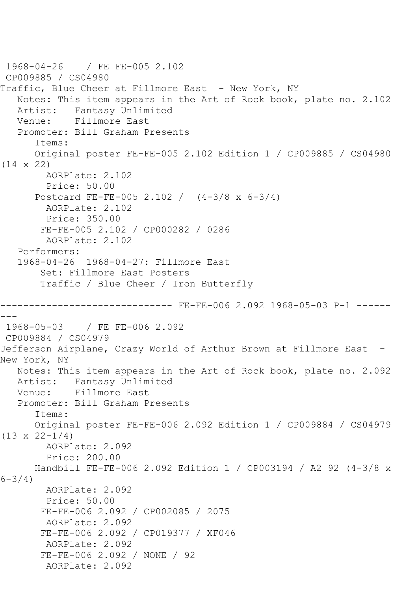```
1968-04-26 / FE FE-005 2.102
CP009885 / CS04980
Traffic, Blue Cheer at Fillmore East - New York, NY
   Notes: This item appears in the Art of Rock book, plate no. 2.102
  Artist: Fantasy Unlimited<br>Venue: Fillmore East
           Fillmore East
   Promoter: Bill Graham Presents
       Items:
       Original poster FE-FE-005 2.102 Edition 1 / CP009885 / CS04980 
(14 x 22)
        AORPlate: 2.102 
         Price: 50.00
       Postcard FE-FE-005 2.102 / (4-3/8 x 6-3/4)
         AORPlate: 2.102 
        Price: 350.00
        FE-FE-005 2.102 / CP000282 / 0286
         AORPlate: 2.102 
    Performers:
    1968-04-26 1968-04-27: Fillmore East
        Set: Fillmore East Posters
        Traffic / Blue Cheer / Iron Butterfly
                       -------- FE-FE-006 2.092 1968-05-03 P-1 ------
---1968-05-03 / FE FE-006 2.092
CP009884 / CS04979
Jefferson Airplane, Crazy World of Arthur Brown at Fillmore East -
New York, NY
   Notes: This item appears in the Art of Rock book, plate no. 2.092
   Artist: Fantasy Unlimited
   Venue: Fillmore East
    Promoter: Bill Graham Presents
       Items:
       Original poster FE-FE-006 2.092 Edition 1 / CP009884 / CS04979 
(13 \times 22 - 1/4) AORPlate: 2.092 
         Price: 200.00
       Handbill FE-FE-006 2.092 Edition 1 / CP003194 / A2 92 (4-3/8 x 
6-3/4)
         AORPlate: 2.092 
         Price: 50.00
        FE-FE-006 2.092 / CP002085 / 2075
        AORPlate: 2.092 
        FE-FE-006 2.092 / CP019377 / XF046
         AORPlate: 2.092 
        FE-FE-006 2.092 / NONE / 92
         AORPlate: 2.092
```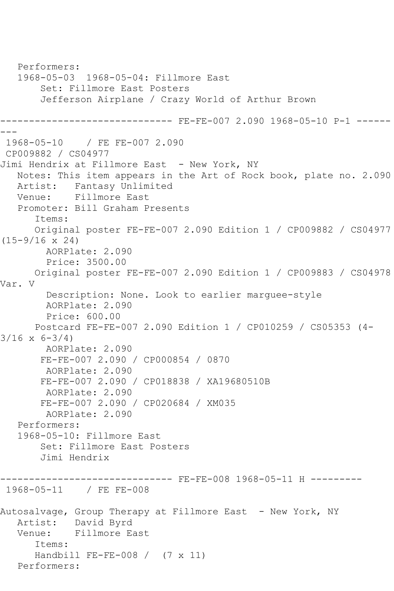Performers: 1968-05-03 1968-05-04: Fillmore East Set: Fillmore East Posters Jefferson Airplane / Crazy World of Arthur Brown ------------------------------ FE-FE-007 2.090 1968-05-10 P-1 ------ --- 1968-05-10 / FE FE-007 2.090 CP009882 / CS04977 Jimi Hendrix at Fillmore East - New York, NY Notes: This item appears in the Art of Rock book, plate no. 2.090 Artist: Fantasy Unlimited<br>Venue: Fillmore East Fillmore East Promoter: Bill Graham Presents Items: Original poster FE-FE-007 2.090 Edition 1 / CP009882 / CS04977 (15-9/16 x 24) AORPlate: 2.090 Price: 3500.00 Original poster FE-FE-007 2.090 Edition 1 / CP009883 / CS04978 Var. V Description: None. Look to earlier marguee-style AORPlate: 2.090 Price: 600.00 Postcard FE-FE-007 2.090 Edition 1 / CP010259 / CS05353 (4-  $3/16 \times 6 - 3/4$  AORPlate: 2.090 FE-FE-007 2.090 / CP000854 / 0870 AORPlate: 2.090 FE-FE-007 2.090 / CP018838 / XA19680510B AORPlate: 2.090 FE-FE-007 2.090 / CP020684 / XM035 AORPlate: 2.090 Performers: 1968-05-10: Fillmore East Set: Fillmore East Posters Jimi Hendrix ------------------------------ FE-FE-008 1968-05-11 H --------- 1968-05-11 / FE FE-008 Autosalvage, Group Therapy at Fillmore East - New York, NY Artist: David Byrd Venue: Fillmore East Items: Handbill FE-FE-008 / (7 x 11) Performers: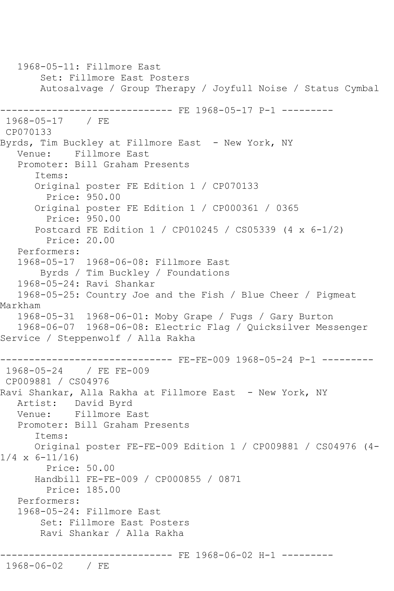1968-05-11: Fillmore East Set: Fillmore East Posters Autosalvage / Group Therapy / Joyfull Noise / Status Cymbal ------------------------------ FE 1968-05-17 P-1 --------- 1968-05-17 / FE CP070133 Byrds, Tim Buckley at Fillmore East - New York, NY Venue: Fillmore East Promoter: Bill Graham Presents Items: Original poster FE Edition 1 / CP070133 Price: 950.00 Original poster FE Edition 1 / CP000361 / 0365 Price: 950.00 Postcard FE Edition 1 / CP010245 / CS05339 (4 x 6-1/2) Price: 20.00 Performers: 1968-05-17 1968-06-08: Fillmore East Byrds / Tim Buckley / Foundations 1968-05-24: Ravi Shankar 1968-05-25: Country Joe and the Fish / Blue Cheer / Pigmeat Markham 1968-05-31 1968-06-01: Moby Grape / Fugs / Gary Burton 1968-06-07 1968-06-08: Electric Flag / Quicksilver Messenger Service / Steppenwolf / Alla Rakha ------------------------------ FE-FE-009 1968-05-24 P-1 --------- 1968-05-24 / FE FE-009 CP009881 / CS04976 Ravi Shankar, Alla Rakha at Fillmore East - New York, NY Artist: David Byrd Venue: Fillmore East Promoter: Bill Graham Presents Items: Original poster FE-FE-009 Edition 1 / CP009881 / CS04976 (4-  $1/4 \times 6 - 11/16$  Price: 50.00 Handbill FE-FE-009 / CP000855 / 0871 Price: 185.00 Performers: 1968-05-24: Fillmore East Set: Fillmore East Posters Ravi Shankar / Alla Rakha ------------------------------ FE 1968-06-02 H-1 --------- 1968-06-02 / FE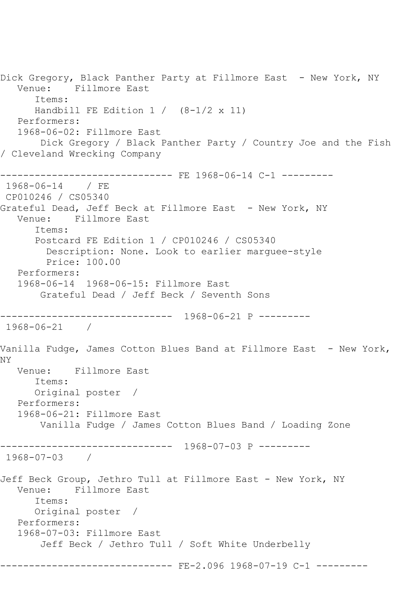Dick Gregory, Black Panther Party at Fillmore East - New York, NY<br>Venue: Fillmore East Fillmore East Items: Handbill FE Edition  $1 / (8-1/2 \times 11)$  Performers: 1968-06-02: Fillmore East Dick Gregory / Black Panther Party / Country Joe and the Fish / Cleveland Wrecking Company ------------------------------ FE 1968-06-14 C-1 ---------1968-06-14 / FE CP010246 / CS05340 Grateful Dead, Jeff Beck at Fillmore East - New York, NY Venue: Fillmore East Items: Postcard FE Edition 1 / CP010246 / CS05340 Description: None. Look to earlier marguee-style Price: 100.00 Performers: 1968-06-14 1968-06-15: Fillmore East Grateful Dead / Jeff Beck / Seventh Sons ------------------------------ 1968-06-21 P --------- 1968-06-21 / Vanilla Fudge, James Cotton Blues Band at Fillmore East - New York, NY Venue: Fillmore East Items: Original poster / Performers: 1968-06-21: Fillmore East Vanilla Fudge / James Cotton Blues Band / Loading Zone ------------------------------ 1968-07-03 P --------- 1968-07-03 / Jeff Beck Group, Jethro Tull at Fillmore East - New York, NY<br>Venue: Fillmore East Fillmore East Items: Original poster / Performers: 1968-07-03: Fillmore East Jeff Beck / Jethro Tull / Soft White Underbelly ------------------------------ FE-2.096 1968-07-19 C-1 ---------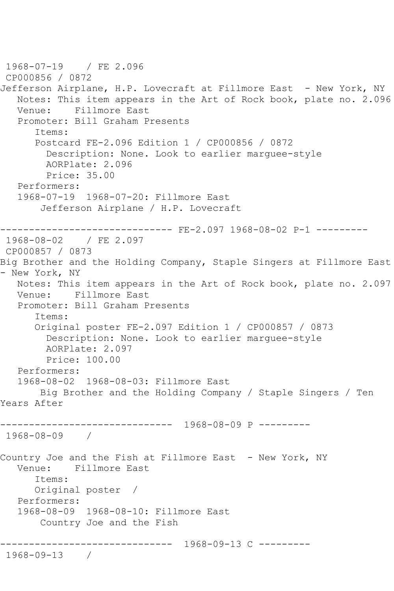1968-07-19 / FE 2.096 CP000856 / 0872 Jefferson Airplane, H.P. Lovecraft at Fillmore East - New York, NY Notes: This item appears in the Art of Rock book, plate no. 2.096<br>Venue: Fillmore East Fillmore East Promoter: Bill Graham Presents Items: Postcard FE-2.096 Edition 1 / CP000856 / 0872 Description: None. Look to earlier marguee-style AORPlate: 2.096 Price: 35.00 Performers: 1968-07-19 1968-07-20: Fillmore East Jefferson Airplane / H.P. Lovecraft ------------------------------ FE-2.097 1968-08-02 P-1 --------- 1968-08-02 / FE 2.097 CP000857 / 0873 Big Brother and the Holding Company, Staple Singers at Fillmore East - New York, NY Notes: This item appears in the Art of Rock book, plate no. 2.097 Venue: Fillmore East Promoter: Bill Graham Presents Items: Original poster FE-2.097 Edition 1 / CP000857 / 0873 Description: None. Look to earlier marguee-style AORPlate: 2.097 Price: 100.00 Performers: 1968-08-02 1968-08-03: Fillmore East Big Brother and the Holding Company / Staple Singers / Ten Years After ------------------------------ 1968-08-09 P --------- 1968-08-09 / Country Joe and the Fish at Fillmore East - New York, NY Venue: Fillmore East Items: Original poster / Performers: 1968-08-09 1968-08-10: Fillmore East Country Joe and the Fish ------------------------------ 1968-09-13 C --------- 1968-09-13 /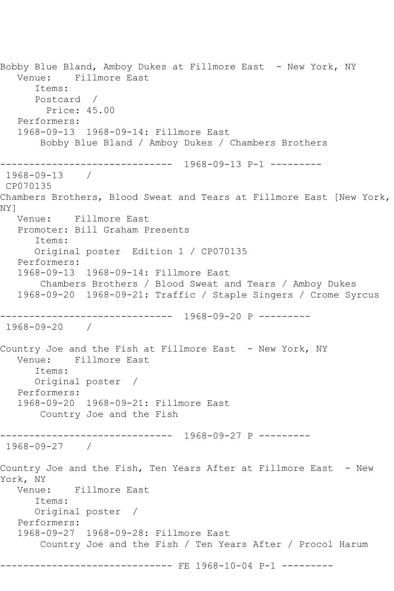Bobby Blue Bland, Amboy Dukes at Fillmore East - New York, NY Venue: Fillmore East Items: Postcard / Price: 45.00 Performers: 1968-09-13 1968-09-14: Fillmore East Bobby Blue Bland / Amboy Dukes / Chambers Brothers ------------------------------ 1968-09-13 P-1 --------- 1968-09-13 / CP070135 Chambers Brothers, Blood Sweat and Tears at Fillmore East [New York, NY] Venue: Fillmore East Promoter: Bill Graham Presents Items: Original poster Edition 1 / CP070135 Performers: 1968-09-13 1968-09-14: Fillmore East Chambers Brothers / Blood Sweat and Tears / Amboy Dukes 1968-09-20 1968-09-21: Traffic / Staple Singers / Crome Syrcus ------------------------------ 1968-09-20 P --------- 1968-09-20 / Country Joe and the Fish at Fillmore East - New York, NY Venue: Fillmore East Items: Original poster / Performers: 1968-09-20 1968-09-21: Fillmore East Country Joe and the Fish ------------------------------ 1968-09-27 P --------- 1968-09-27 / Country Joe and the Fish, Ten Years After at Fillmore East - New York, NY<br>Venue: Fillmore East Items: Original poster / Performers: 1968-09-27 1968-09-28: Fillmore East Country Joe and the Fish / Ten Years After / Procol Harum ------------------------------ FE 1968-10-04 P-1 ---------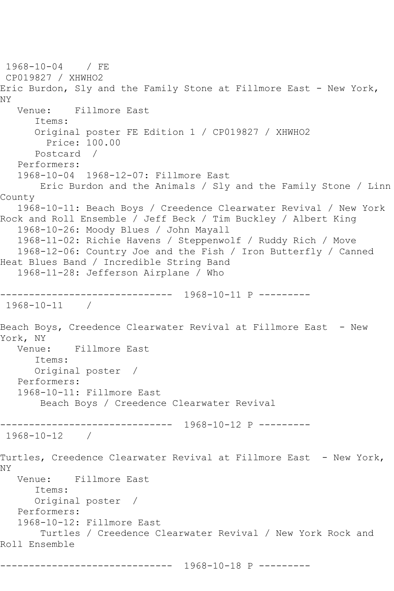1968-10-04 / FE CP019827 / XHWHO2 Eric Burdon, Sly and the Family Stone at Fillmore East - New York, NY Venue: Fillmore East Items: Original poster FE Edition 1 / CP019827 / XHWHO2 Price: 100.00 Postcard / Performers: 1968-10-04 1968-12-07: Fillmore East Eric Burdon and the Animals / Sly and the Family Stone / Linn County 1968-10-11: Beach Boys / Creedence Clearwater Revival / New York Rock and Roll Ensemble / Jeff Beck / Tim Buckley / Albert King 1968-10-26: Moody Blues / John Mayall 1968-11-02: Richie Havens / Steppenwolf / Ruddy Rich / Move 1968-12-06: Country Joe and the Fish / Iron Butterfly / Canned Heat Blues Band / Incredible String Band 1968-11-28: Jefferson Airplane / Who ------------------------------ 1968-10-11 P --------- 1968-10-11 / Beach Boys, Creedence Clearwater Revival at Fillmore East - New York, NY<br>Venue: Fillmore East Items: Original poster / Performers: 1968-10-11: Fillmore East Beach Boys / Creedence Clearwater Revival ------------------------------ 1968-10-12 P --------- 1968-10-12 / Turtles, Creedence Clearwater Revival at Fillmore East - New York, NY Venue: Fillmore East Items: Original poster / Performers: 1968-10-12: Fillmore East Turtles / Creedence Clearwater Revival / New York Rock and Roll Ensemble ------------------------------ 1968-10-18 P ---------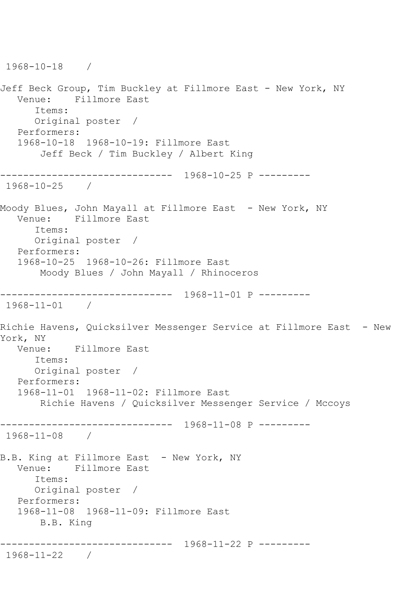```
1968-10-18 / 
Jeff Beck Group, Tim Buckley at Fillmore East - New York, NY
   Venue: Fillmore East
       Items:
       Original poster / 
   Performers:
    1968-10-18 1968-10-19: Fillmore East
        Jeff Beck / Tim Buckley / Albert King
  ------------------------------ 1968-10-25 P ---------
1968-10-25 / 
Moody Blues, John Mayall at Fillmore East  – New York, NY<br>Venue:    Fillmore East
          Fillmore East
       Items:
       Original poster / 
   Performers:
   1968-10-25 1968-10-26: Fillmore East
        Moody Blues / John Mayall / Rhinoceros
     ------------------------------ 1968-11-01 P ---------
1968-11-01 / 
Richie Havens, Quicksilver Messenger Service at Fillmore East - New 
York, NY
   Venue: Fillmore East
       Items:
       Original poster / 
   Performers:
    1968-11-01 1968-11-02: Fillmore East
        Richie Havens / Quicksilver Messenger Service / Mccoys
------------------------------ 1968-11-08 P ---------
1968-11-08 / 
B.B. King at Fillmore East - New York, NY
   Venue: Fillmore East
       Items:
       Original poster / 
   Performers:
    1968-11-08 1968-11-09: Fillmore East
        B.B. King
    ------------------------------ 1968-11-22 P ---------
1968-11-22 /
```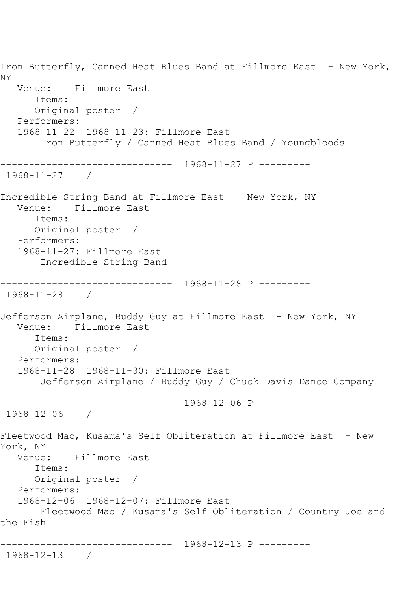Iron Butterfly, Canned Heat Blues Band at Fillmore East - New York, NY Venue: Fillmore East Items: Original poster / Performers: 1968-11-22 1968-11-23: Fillmore East Iron Butterfly / Canned Heat Blues Band / Youngbloods ------------------------------ 1968-11-27 P --------- 1968-11-27 / Incredible String Band at Fillmore East - New York, NY Venue: Fillmore East Items: Original poster / Performers: 1968-11-27: Fillmore East Incredible String Band ------------------------------ 1968-11-28 P --------- 1968-11-28 / Jefferson Airplane, Buddy Guy at Fillmore East - New York, NY Venue: Fillmore East Items: Original poster / Performers: 1968-11-28 1968-11-30: Fillmore East Jefferson Airplane / Buddy Guy / Chuck Davis Dance Company ------------------------------ 1968-12-06 P --------- 1968-12-06 / Fleetwood Mac, Kusama's Self Obliteration at Fillmore East - New York, NY Venue: Fillmore East Items: Original poster / Performers: 1968-12-06 1968-12-07: Fillmore East Fleetwood Mac / Kusama's Self Obliteration / Country Joe and the Fish ------------------------------ 1968-12-13 P --------- 1968-12-13 /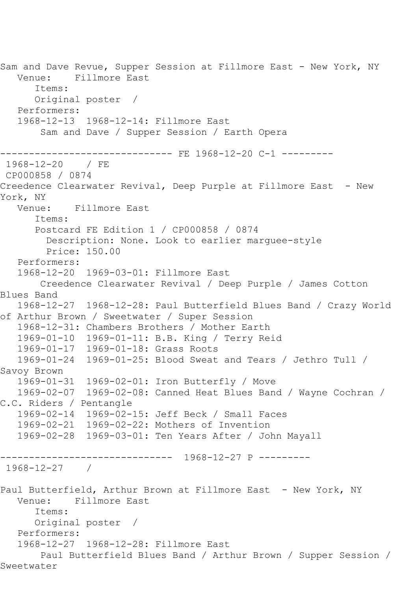Sam and Dave Revue, Supper Session at Fillmore East - New York, NY Venue: Fillmore East Items: Original poster / Performers: 1968-12-13 1968-12-14: Fillmore East Sam and Dave / Supper Session / Earth Opera ----------------- FE 1968-12-20 C-1 ----------<br>/ FE 1968-12-20 CP000858 / 0874 Creedence Clearwater Revival, Deep Purple at Fillmore East - New York, NY Venue: Fillmore East Items: Postcard FE Edition 1 / CP000858 / 0874 Description: None. Look to earlier marguee-style Price: 150.00 Performers: 1968-12-20 1969-03-01: Fillmore East Creedence Clearwater Revival / Deep Purple / James Cotton Blues Band 1968-12-27 1968-12-28: Paul Butterfield Blues Band / Crazy World of Arthur Brown / Sweetwater / Super Session 1968-12-31: Chambers Brothers / Mother Earth 1969-01-10 1969-01-11: B.B. King / Terry Reid 1969-01-17 1969-01-18: Grass Roots 1969-01-24 1969-01-25: Blood Sweat and Tears / Jethro Tull / Savoy Brown 1969-01-31 1969-02-01: Iron Butterfly / Move 1969-02-07 1969-02-08: Canned Heat Blues Band / Wayne Cochran / C.C. Riders / Pentangle 1969-02-14 1969-02-15: Jeff Beck / Small Faces 1969-02-21 1969-02-22: Mothers of Invention 1969-02-28 1969-03-01: Ten Years After / John Mayall ------------------------------ 1968-12-27 P --------- 1968-12-27 / Paul Butterfield, Arthur Brown at Fillmore East - New York, NY Venue: Fillmore East Items: Original poster / Performers: 1968-12-27 1968-12-28: Fillmore East Paul Butterfield Blues Band / Arthur Brown / Supper Session / Sweetwater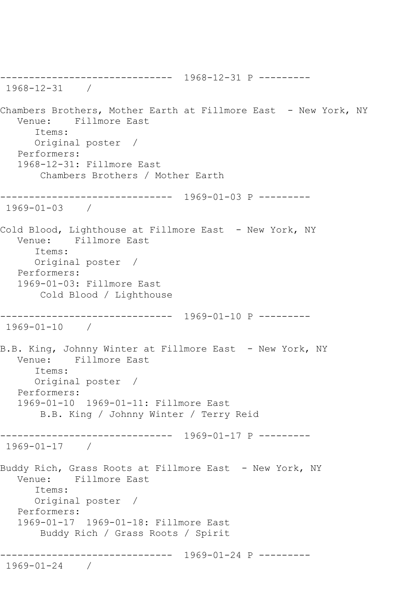------------------------------ 1968-12-31 P --------- 1968-12-31 / Chambers Brothers, Mother Earth at Fillmore East - New York, NY Venue: Fillmore East Items: Original poster / Performers: 1968-12-31: Fillmore East Chambers Brothers / Mother Earth ------------------------------ 1969-01-03 P --------- 1969-01-03 / Cold Blood, Lighthouse at Fillmore East - New York, NY Venue: Fillmore East Items: Original poster / Performers: 1969-01-03: Fillmore East Cold Blood / Lighthouse ------------------------------ 1969-01-10 P --------- 1969-01-10 / B.B. King, Johnny Winter at Fillmore East - New York, NY Venue: Fillmore East Items: Original poster / Performers: 1969-01-10 1969-01-11: Fillmore East B.B. King / Johnny Winter / Terry Reid ------------------------------ 1969-01-17 P --------- 1969-01-17 / Buddy Rich, Grass Roots at Fillmore East - New York, NY Venue: Fillmore East Items: Original poster / Performers: 1969-01-17 1969-01-18: Fillmore East Buddy Rich / Grass Roots / Spirit ------------------------------ 1969-01-24 P --------- 1969-01-24 /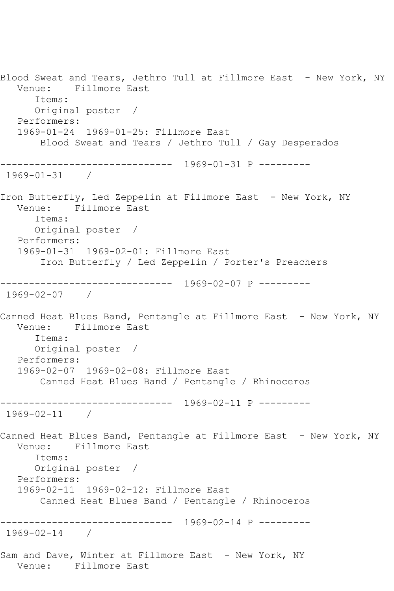Blood Sweat and Tears, Jethro Tull at Fillmore East - New York, NY Venue: Fillmore East Items: Original poster / Performers: 1969-01-24 1969-01-25: Fillmore East Blood Sweat and Tears / Jethro Tull / Gay Desperados ------------------------------ 1969-01-31 P --------- 1969-01-31 / Iron Butterfly, Led Zeppelin at Fillmore East - New York, NY Venue: Fillmore East Items: Original poster / Performers: 1969-01-31 1969-02-01: Fillmore East Iron Butterfly / Led Zeppelin / Porter's Preachers ------------------------------ 1969-02-07 P --------- 1969-02-07 / Canned Heat Blues Band, Pentangle at Fillmore East - New York, NY Venue: Fillmore East Items: Original poster / Performers: 1969-02-07 1969-02-08: Fillmore East Canned Heat Blues Band / Pentangle / Rhinoceros ------------------------------ 1969-02-11 P --------- 1969-02-11 / Canned Heat Blues Band, Pentangle at Fillmore East - New York, NY Venue: Fillmore East Items: Original poster / Performers: 1969-02-11 1969-02-12: Fillmore East Canned Heat Blues Band / Pentangle / Rhinoceros ------------------------------ 1969-02-14 P --------- 1969-02-14 / Sam and Dave, Winter at Fillmore East - New York, NY Venue: Fillmore East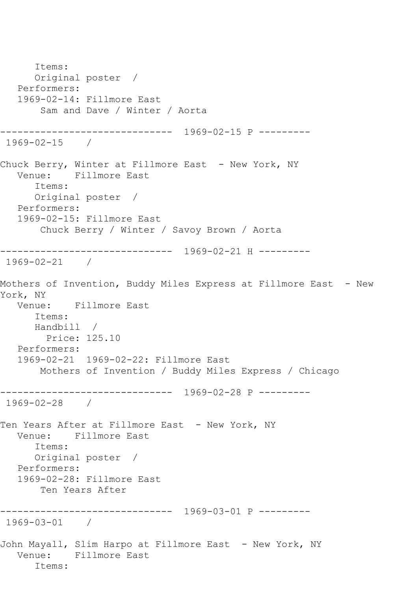Items: Original poster / Performers: 1969-02-14: Fillmore East Sam and Dave / Winter / Aorta ------------------------------ 1969-02-15 P --------- 1969-02-15 / Chuck Berry, Winter at Fillmore East - New York, NY<br>Venue: Fillmore East Fillmore East Items: Original poster / Performers: 1969-02-15: Fillmore East Chuck Berry / Winter / Savoy Brown / Aorta ------------------------------ 1969-02-21 H --------- 1969-02-21 / Mothers of Invention, Buddy Miles Express at Fillmore East - New York, NY Venue: Fillmore East Items: Handbill / Price: 125.10 Performers: 1969-02-21 1969-02-22: Fillmore East Mothers of Invention / Buddy Miles Express / Chicago ------------------------------ 1969-02-28 P --------- 1969-02-28 / Ten Years After at Fillmore East - New York, NY Venue: Fillmore East Items: Original poster / Performers: 1969-02-28: Fillmore East Ten Years After ------------------------------ 1969-03-01 P --------- 1969-03-01 / John Mayall, Slim Harpo at Fillmore East - New York, NY Venue: Fillmore East Items: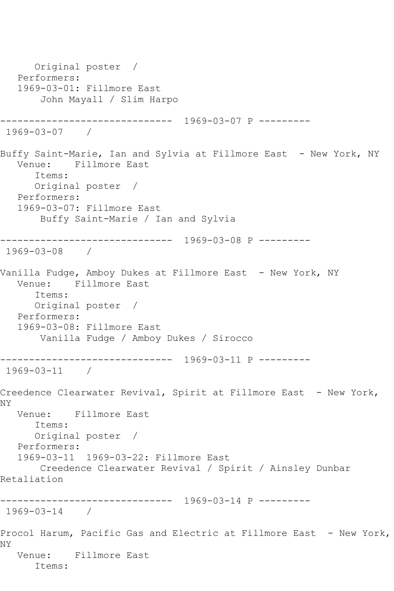Original poster / Performers: 1969-03-01: Fillmore East John Mayall / Slim Harpo ------------------------------ 1969-03-07 P --------- 1969-03-07 / Buffy Saint-Marie, Ian and Sylvia at Fillmore East - New York, NY Venue: Fillmore East Items: Original poster / Performers: 1969-03-07: Fillmore East Buffy Saint-Marie / Ian and Sylvia ------------------------------ 1969-03-08 P --------- 1969-03-08 / Vanilla Fudge, Amboy Dukes at Fillmore East - New York, NY Venue: Fillmore East Items: Original poster / Performers: 1969-03-08: Fillmore East Vanilla Fudge / Amboy Dukes / Sirocco ------------------------------ 1969-03-11 P --------- 1969-03-11 / Creedence Clearwater Revival, Spirit at Fillmore East - New York, NY Venue: Fillmore East Items: Original poster / Performers: 1969-03-11 1969-03-22: Fillmore East Creedence Clearwater Revival / Spirit / Ainsley Dunbar Retaliation ------------------------------ 1969-03-14 P --------- 1969-03-14 / Procol Harum, Pacific Gas and Electric at Fillmore East - New York, NY Venue: Fillmore East Items: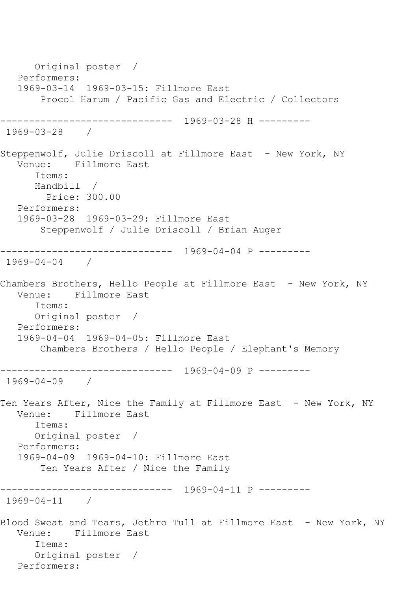Original poster / Performers: 1969-03-14 1969-03-15: Fillmore East Procol Harum / Pacific Gas and Electric / Collectors ------------------------------ 1969-03-28 H --------- 1969-03-28 / Steppenwolf, Julie Driscoll at Fillmore East - New York, NY Venue: Fillmore East Items: Handbill / Price: 300.00 Performers: 1969-03-28 1969-03-29: Fillmore East Steppenwolf / Julie Driscoll / Brian Auger ------------------------------ 1969-04-04 P --------- 1969-04-04 / Chambers Brothers, Hello People at Fillmore East - New York, NY Venue: Fillmore East Items: Original poster / Performers: 1969-04-04 1969-04-05: Fillmore East Chambers Brothers / Hello People / Elephant's Memory ------------------------------ 1969-04-09 P --------- 1969-04-09 / Ten Years After, Nice the Family at Fillmore East - New York, NY Venue: Fillmore East Items: Original poster / Performers: 1969-04-09 1969-04-10: Fillmore East Ten Years After / Nice the Family ------------------------------ 1969-04-11 P --------- 1969-04-11 / Blood Sweat and Tears, Jethro Tull at Fillmore East - New York, NY Venue: Fillmore East Items: Original poster / Performers: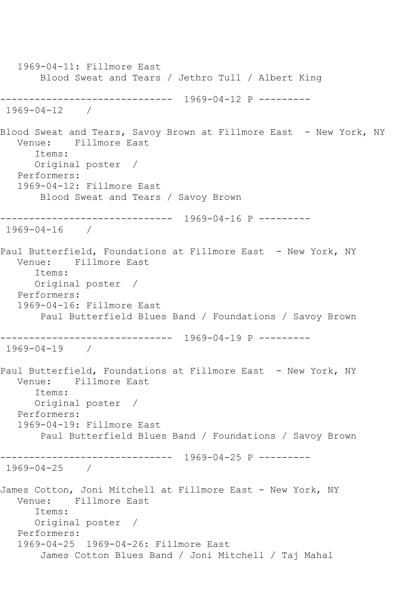1969-04-11: Fillmore East Blood Sweat and Tears / Jethro Tull / Albert King ------------------------------ 1969-04-12 P --------- 1969-04-12 / Blood Sweat and Tears, Savoy Brown at Fillmore East - New York, NY Venue: Fillmore East Items: Original poster / Performers: 1969-04-12: Fillmore East Blood Sweat and Tears / Savoy Brown ------------------------------ 1969-04-16 P --------- 1969-04-16 / Paul Butterfield, Foundations at Fillmore East - New York, NY Venue: Fillmore East Items: Original poster / Performers: 1969-04-16: Fillmore East Paul Butterfield Blues Band / Foundations / Savoy Brown ------------------------------ 1969-04-19 P --------- 1969-04-19 / Paul Butterfield, Foundations at Fillmore East - New York, NY Venue: Fillmore East Items: Original poster / Performers: 1969-04-19: Fillmore East Paul Butterfield Blues Band / Foundations / Savoy Brown ------------------------------ 1969-04-25 P --------- 1969-04-25 / James Cotton, Joni Mitchell at Fillmore East - New York, NY Venue: Fillmore East Items: Original poster / Performers: 1969-04-25 1969-04-26: Fillmore East James Cotton Blues Band / Joni Mitchell / Taj Mahal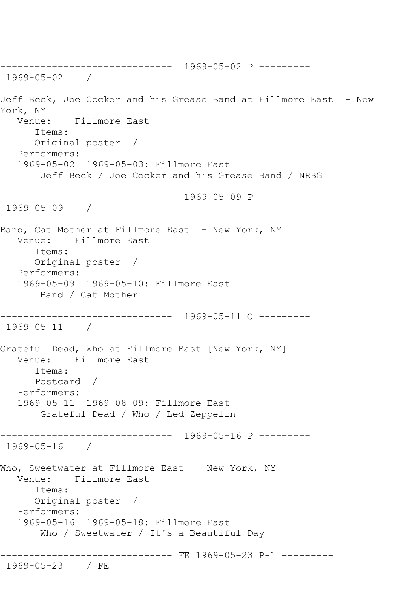------------------------------ 1969-05-02 P --------- 1969-05-02 / Jeff Beck, Joe Cocker and his Grease Band at Fillmore East - New York, NY Venue: Fillmore East Items: Original poster / Performers: 1969-05-02 1969-05-03: Fillmore East Jeff Beck / Joe Cocker and his Grease Band / NRBG ------------------------------ 1969-05-09 P --------- 1969-05-09 / Band, Cat Mother at Fillmore East - New York, NY Venue: Fillmore East Items: Original poster / Performers: 1969-05-09 1969-05-10: Fillmore East Band / Cat Mother ------------------------------ 1969-05-11 C --------- 1969-05-11 / Grateful Dead, Who at Fillmore East [New York, NY] Venue: Fillmore East Items: Postcard / Performers: 1969-05-11 1969-08-09: Fillmore East Grateful Dead / Who / Led Zeppelin ------------------------------ 1969-05-16 P --------- 1969-05-16 / Who, Sweetwater at Fillmore East - New York, NY Venue: Fillmore East Items: Original poster / Performers: 1969-05-16 1969-05-18: Fillmore East Who / Sweetwater / It's a Beautiful Day ------------------------------ FE 1969-05-23 P-1 --------- 1969-05-23 / FE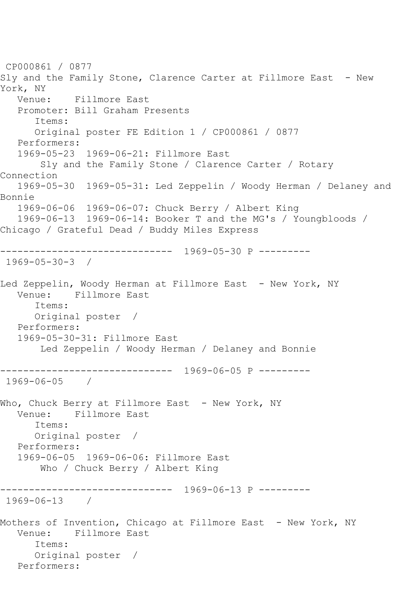CP000861 / 0877 Sly and the Family Stone, Clarence Carter at Fillmore East - New York, NY Venue: Fillmore East Promoter: Bill Graham Presents Items: Original poster FE Edition 1 / CP000861 / 0877 Performers: 1969-05-23 1969-06-21: Fillmore East Sly and the Family Stone / Clarence Carter / Rotary Connection 1969-05-30 1969-05-31: Led Zeppelin / Woody Herman / Delaney and Bonnie 1969-06-06 1969-06-07: Chuck Berry / Albert King 1969-06-13 1969-06-14: Booker T and the MG's / Youngbloods / Chicago / Grateful Dead / Buddy Miles Express ------------------------------ 1969-05-30 P --------- 1969-05-30-3 / Led Zeppelin, Woody Herman at Fillmore East - New York, NY Venue: Fillmore East Items: Original poster / Performers: 1969-05-30-31: Fillmore East Led Zeppelin / Woody Herman / Delaney and Bonnie ------------------------------ 1969-06-05 P --------- 1969-06-05 / Who, Chuck Berry at Fillmore East - New York, NY Venue: Fillmore East Items: Original poster / Performers: 1969-06-05 1969-06-06: Fillmore East Who / Chuck Berry / Albert King ------------------------------ 1969-06-13 P --------- 1969-06-13 / Mothers of Invention, Chicago at Fillmore East - New York, NY Venue: Fillmore East Items: Original poster / Performers: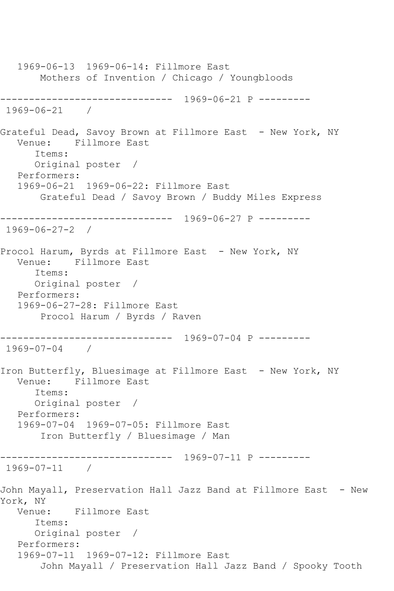1969-06-13 1969-06-14: Fillmore East Mothers of Invention / Chicago / Youngbloods ------------------------------ 1969-06-21 P --------- 1969-06-21 / Grateful Dead, Savoy Brown at Fillmore East - New York, NY<br>Venue: Fillmore East Fillmore East Items: Original poster / Performers: 1969-06-21 1969-06-22: Fillmore East Grateful Dead / Savoy Brown / Buddy Miles Express ------------------------------ 1969-06-27 P --------- 1969-06-27-2 / Procol Harum, Byrds at Fillmore East - New York, NY Venue: Fillmore East Items: Original poster / Performers: 1969-06-27-28: Fillmore East Procol Harum / Byrds / Raven ------------------------------ 1969-07-04 P --------- 1969-07-04 / Iron Butterfly, Bluesimage at Fillmore East - New York, NY Venue: Fillmore East Items: Original poster / Performers: 1969-07-04 1969-07-05: Fillmore East Iron Butterfly / Bluesimage / Man ------------------------------ 1969-07-11 P --------- 1969-07-11 / John Mayall, Preservation Hall Jazz Band at Fillmore East - New York, NY Venue: Fillmore East Items: Original poster / Performers: 1969-07-11 1969-07-12: Fillmore East John Mayall / Preservation Hall Jazz Band / Spooky Tooth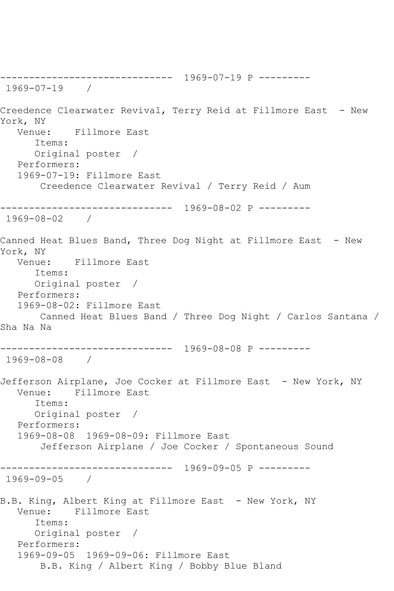------------------------------ 1969-07-19 P --------- 1969-07-19 / Creedence Clearwater Revival, Terry Reid at Fillmore East - New York, NY Venue: Fillmore East Items: Original poster / Performers: 1969-07-19: Fillmore East Creedence Clearwater Revival / Terry Reid / Aum ------------------------------ 1969-08-02 P --------- 1969-08-02 / Canned Heat Blues Band, Three Dog Night at Fillmore East - New York, NY Venue: Fillmore East Items: Original poster / Performers: 1969-08-02: Fillmore East Canned Heat Blues Band / Three Dog Night / Carlos Santana / Sha Na Na ------------------------------ 1969-08-08 P --------- 1969-08-08 / Jefferson Airplane, Joe Cocker at Fillmore East - New York, NY Venue: Fillmore East Items: Original poster / Performers: 1969-08-08 1969-08-09: Fillmore East Jefferson Airplane / Joe Cocker / Spontaneous Sound ------------------------------ 1969-09-05 P --------- 1969-09-05 / B.B. King, Albert King at Fillmore East - New York, NY Venue: Fillmore East Items: Original poster / Performers: 1969-09-05 1969-09-06: Fillmore East B.B. King / Albert King / Bobby Blue Bland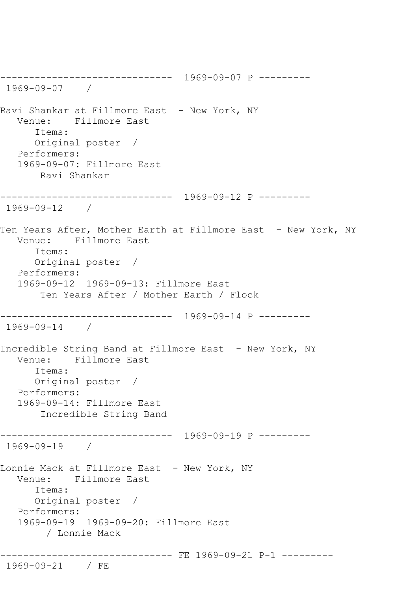------------------------------ 1969-09-07 P --------- 1969-09-07 / Ravi Shankar at Fillmore East - New York, NY Venue: Fillmore East Items: Original poster / Performers: 1969-09-07: Fillmore East Ravi Shankar ------------------------------ 1969-09-12 P --------- 1969-09-12 / Ten Years After, Mother Earth at Fillmore East - New York, NY Venue: Fillmore East Items: Original poster / Performers: 1969-09-12 1969-09-13: Fillmore East Ten Years After / Mother Earth / Flock ------------------------------ 1969-09-14 P --------- 1969-09-14 / Incredible String Band at Fillmore East - New York, NY Venue: Fillmore East Items: Original poster / Performers: 1969-09-14: Fillmore East Incredible String Band ------------------------------ 1969-09-19 P --------- 1969-09-19 / Lonnie Mack at Fillmore East - New York, NY Venue: Fillmore East Items: Original poster / Performers: 1969-09-19 1969-09-20: Fillmore East / Lonnie Mack ------------------------------ FE 1969-09-21 P-1 --------- 1969-09-21 / FE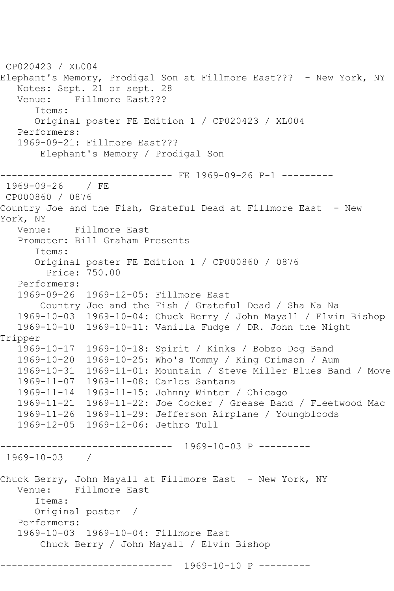CP020423 / XL004 Elephant's Memory, Prodigal Son at Fillmore East??? - New York, NY Notes: Sept. 21 or sept. 28 Venue: Fillmore East??? Items: Original poster FE Edition 1 / CP020423 / XL004 Performers: 1969-09-21: Fillmore East??? Elephant's Memory / Prodigal Son ------------------------------ FE 1969-09-26 P-1 --------- 1969-09-26 / FE CP000860 / 0876 Country Joe and the Fish, Grateful Dead at Fillmore East - New York, NY Venue: Fillmore East Promoter: Bill Graham Presents Items: Original poster FE Edition 1 / CP000860 / 0876 Price: 750.00 Performers: 1969-09-26 1969-12-05: Fillmore East Country Joe and the Fish / Grateful Dead / Sha Na Na 1969-10-03 1969-10-04: Chuck Berry / John Mayall / Elvin Bishop 1969-10-10 1969-10-11: Vanilla Fudge / DR. John the Night Tripper 1969-10-17 1969-10-18: Spirit / Kinks / Bobzo Dog Band 1969-10-20 1969-10-25: Who's Tommy / King Crimson / Aum 1969-10-31 1969-11-01: Mountain / Steve Miller Blues Band / Move 1969-11-07 1969-11-08: Carlos Santana 1969-11-14 1969-11-15: Johnny Winter / Chicago 1969-11-21 1969-11-22: Joe Cocker / Grease Band / Fleetwood Mac 1969-11-26 1969-11-29: Jefferson Airplane / Youngbloods 1969-12-05 1969-12-06: Jethro Tull ------------------------------ 1969-10-03 P --------- 1969-10-03 / Chuck Berry, John Mayall at Fillmore East - New York, NY<br>Venue: Fillmore East Fillmore East Items: Original poster / Performers: 1969-10-03 1969-10-04: Fillmore East Chuck Berry / John Mayall / Elvin Bishop ------------------------------ 1969-10-10 P ---------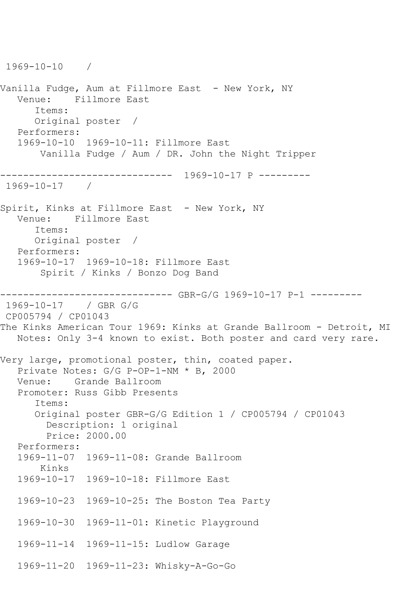1969-10-10 / Vanilla Fudge, Aum at Fillmore East – New York, NY Venue: Fillmore East Items: Original poster / Performers: 1969-10-10 1969-10-11: Fillmore East Vanilla Fudge / Aum / DR. John the Night Tripper ------------------------------ 1969-10-17 P --------- 1969-10-17 / Spirit, Kinks at Fillmore East - New York, NY Venue: Fillmore East Items: Original poster / Performers: 1969-10-17 1969-10-18: Fillmore East Spirit / Kinks / Bonzo Dog Band ------------------------------ GBR-G/G 1969-10-17 P-1 --------- 1969-10-17 / GBR G/G CP005794 / CP01043 The Kinks American Tour 1969: Kinks at Grande Ballroom - Detroit, MI Notes: Only 3-4 known to exist. Both poster and card very rare. Very large, promotional poster, thin, coated paper. Private Notes: G/G P-OP-1-NM \* B, 2000 Venue: Grande Ballroom Promoter: Russ Gibb Presents Items: Original poster GBR-G/G Edition 1 / CP005794 / CP01043 Description: 1 original Price: 2000.00 Performers: 1969-11-07 1969-11-08: Grande Ballroom Kinks 1969-10-17 1969-10-18: Fillmore East 1969-10-23 1969-10-25: The Boston Tea Party 1969-10-30 1969-11-01: Kinetic Playground 1969-11-14 1969-11-15: Ludlow Garage 1969-11-20 1969-11-23: Whisky-A-Go-Go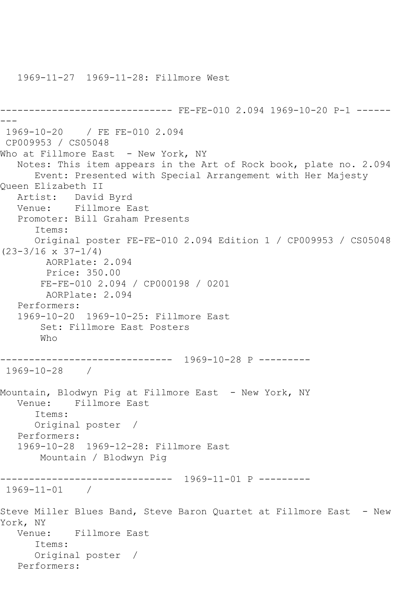------------------------------ FE-FE-010 2.094 1969-10-20 P-1 ------ --- 1969-10-20 / FE FE-010 2.094 CP009953 / CS05048 Who at Fillmore East - New York, NY Notes: This item appears in the Art of Rock book, plate no. 2.094 Event: Presented with Special Arrangement with Her Majesty Queen Elizabeth II Artist: David Byrd Venue: Fillmore East Promoter: Bill Graham Presents Items: Original poster FE-FE-010 2.094 Edition 1 / CP009953 / CS05048  $(23-3/16 \times 37-1/4)$  AORPlate: 2.094 Price: 350.00 FE-FE-010 2.094 / CP000198 / 0201 AORPlate: 2.094 Performers: 1969-10-20 1969-10-25: Fillmore East Set: Fillmore East Posters Who ------------------------------ 1969-10-28 P --------- 1969-10-28 / Mountain, Blodwyn Pig at Fillmore East - New York, NY Venue: Fillmore East Items: Original poster / Performers: 1969-10-28 1969-12-28: Fillmore East Mountain / Blodwyn Pig ------------------------------ 1969-11-01 P --------- 1969-11-01 / Steve Miller Blues Band, Steve Baron Quartet at Fillmore East - New York, NY Venue: Fillmore East Items: Original poster / Performers:

1969-11-27 1969-11-28: Fillmore West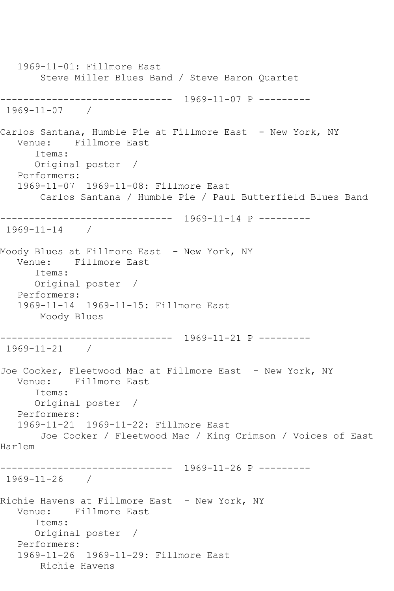1969-11-01: Fillmore East Steve Miller Blues Band / Steve Baron Quartet ------------------------------ 1969-11-07 P --------- 1969-11-07 / Carlos Santana, Humble Pie at Fillmore East - New York, NY Venue: Fillmore East Items: Original poster / Performers: 1969-11-07 1969-11-08: Fillmore East Carlos Santana / Humble Pie / Paul Butterfield Blues Band ------------------------------ 1969-11-14 P --------- 1969-11-14 / Moody Blues at Fillmore East - New York, NY Venue: Fillmore East Items: Original poster / Performers: 1969-11-14 1969-11-15: Fillmore East Moody Blues ------------------------------ 1969-11-21 P --------- 1969-11-21 / Joe Cocker, Fleetwood Mac at Fillmore East - New York, NY Venue: Fillmore East Items: Original poster / Performers: 1969-11-21 1969-11-22: Fillmore East Joe Cocker / Fleetwood Mac / King Crimson / Voices of East Harlem ------------------------------ 1969-11-26 P --------- 1969-11-26 / Richie Havens at Fillmore East - New York, NY Venue: Fillmore East Items: Original poster / Performers: 1969-11-26 1969-11-29: Fillmore East Richie Havens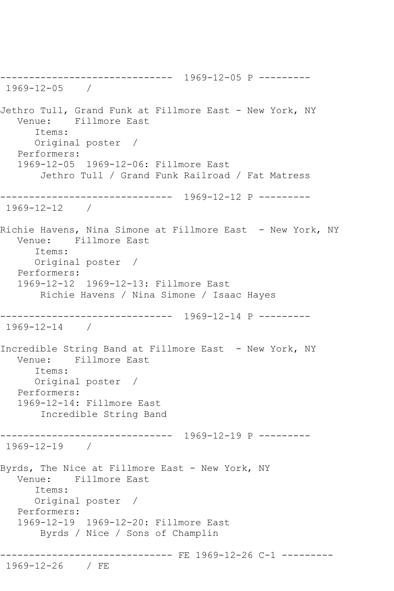------------------------------ 1969-12-05 P --------- 1969-12-05 / Jethro Tull, Grand Funk at Fillmore East - New York, NY Venue: Fillmore East Items: Original poster / Performers: 1969-12-05 1969-12-06: Fillmore East Jethro Tull / Grand Funk Railroad / Fat Matress ------------------------------ 1969-12-12 P --------- 1969-12-12 / Richie Havens, Nina Simone at Fillmore East - New York, NY Venue: Fillmore East Items: Original poster / Performers: 1969-12-12 1969-12-13: Fillmore East Richie Havens / Nina Simone / Isaac Hayes ------------------------------ 1969-12-14 P --------- 1969-12-14 / Incredible String Band at Fillmore East - New York, NY Venue: Fillmore East Items: Original poster / Performers: 1969-12-14: Fillmore East Incredible String Band ------------------------------ 1969-12-19 P --------- 1969-12-19 / Byrds, The Nice at Fillmore East - New York, NY Venue: Fillmore East Items: Original poster / Performers: 1969-12-19 1969-12-20: Fillmore East Byrds / Nice / Sons of Champlin ----------------------------- FE 1969-12-26 C-1 ---------1969-12-26 / FE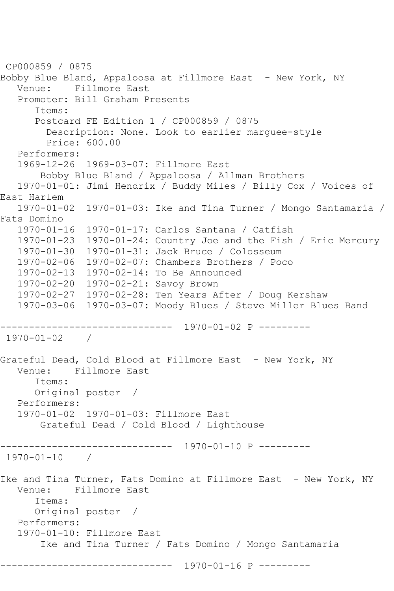```
CP000859 / 0875
Bobby Blue Bland, Appaloosa at Fillmore East - New York, NY<br>Venue: Fillmore East
          Fillmore East
   Promoter: Bill Graham Presents
       Items:
      Postcard FE Edition 1 / CP000859 / 0875
         Description: None. Look to earlier marguee-style
         Price: 600.00
   Performers:
   1969-12-26 1969-03-07: Fillmore East
        Bobby Blue Bland / Appaloosa / Allman Brothers
   1970-01-01: Jimi Hendrix / Buddy Miles / Billy Cox / Voices of 
East Harlem
   1970-01-02 1970-01-03: Ike and Tina Turner / Mongo Santamaria / 
Fats Domino
   1970-01-16 1970-01-17: Carlos Santana / Catfish
   1970-01-23 1970-01-24: Country Joe and the Fish / Eric Mercury
   1970-01-30 1970-01-31: Jack Bruce / Colosseum
   1970-02-06 1970-02-07: Chambers Brothers / Poco
   1970-02-13 1970-02-14: To Be Announced
   1970-02-20 1970-02-21: Savoy Brown
   1970-02-27 1970-02-28: Ten Years After / Doug Kershaw
   1970-03-06 1970-03-07: Moody Blues / Steve Miller Blues Band
------------------------------ 1970-01-02 P ---------
1970-01-02 / 
Grateful Dead, Cold Blood at Fillmore East - New York, NY
   Venue: Fillmore East
       Items:
      Original poster / 
   Performers:
   1970-01-02 1970-01-03: Fillmore East
        Grateful Dead / Cold Blood / Lighthouse
------------------------------ 1970-01-10 P ---------
1970-01-10 / 
Ike and Tina Turner, Fats Domino at Fillmore East - New York, NY
   Venue: Fillmore East
       Items:
      Original poster / 
   Performers:
   1970-01-10: Fillmore East
        Ike and Tina Turner / Fats Domino / Mongo Santamaria
            ------------------------------ 1970-01-16 P ---------
```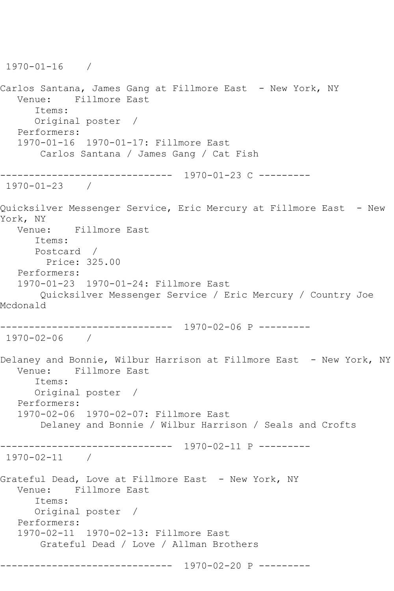```
1970-01-16 / 
Carlos Santana, James Gang at Fillmore East - New York, NY
   Venue: Fillmore East
      Items:
      Original poster / 
   Performers:
   1970-01-16 1970-01-17: Fillmore East
       Carlos Santana / James Gang / Cat Fish
------------------------------ 1970-01-23 C ---------
1970-01-23 / 
Quicksilver Messenger Service, Eric Mercury at Fillmore East - New 
York, NY
   Venue: Fillmore East
      Items:
      Postcard / 
        Price: 325.00
   Performers:
   1970-01-23 1970-01-24: Fillmore East
       Quicksilver Messenger Service / Eric Mercury / Country Joe 
Mcdonald
                ------------------------------ 1970-02-06 P ---------
1970-02-06 / 
Delaney and Bonnie, Wilbur Harrison at Fillmore East - New York, NY
   Venue: Fillmore East
      Items:
      Original poster / 
   Performers:
   1970-02-06 1970-02-07: Fillmore East
       Delaney and Bonnie / Wilbur Harrison / Seals and Crofts
------------------------------ 1970-02-11 P ---------
1970-02-11 / 
Grateful Dead, Love at Fillmore East - New York, NY
   Venue: Fillmore East
      Items:
      Original poster / 
   Performers:
   1970-02-11 1970-02-13: Fillmore East
       Grateful Dead / Love / Allman Brothers
------------------------------ 1970-02-20 P ---------
```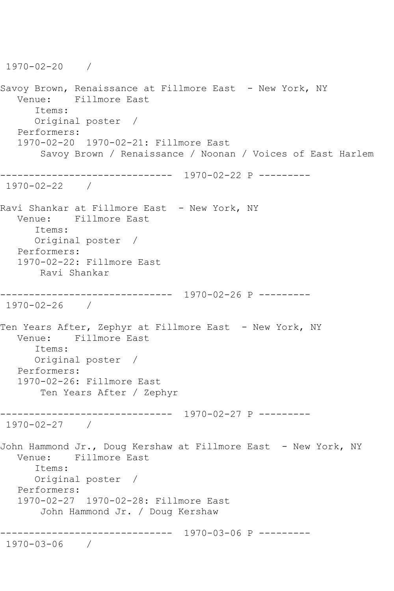1970-02-20 / Savoy Brown, Renaissance at Fillmore East - New York, NY Venue: Fillmore East Items: Original poster / Performers: 1970-02-20 1970-02-21: Fillmore East Savoy Brown / Renaissance / Noonan / Voices of East Harlem ------------------------------ 1970-02-22 P --------- 1970-02-22 / Ravi Shankar at Fillmore East - New York, NY Venue: Fillmore East Items: Original poster / Performers: 1970-02-22: Fillmore East Ravi Shankar ------------------------------ 1970-02-26 P --------- 1970-02-26 / Ten Years After, Zephyr at Fillmore East - New York, NY Venue: Fillmore East Items: Original poster / Performers: 1970-02-26: Fillmore East Ten Years After / Zephyr ------------------------------ 1970-02-27 P --------- 1970-02-27 / John Hammond Jr., Doug Kershaw at Fillmore East - New York, NY Venue: Fillmore East Items: Original poster / Performers: 1970-02-27 1970-02-28: Fillmore East John Hammond Jr. / Doug Kershaw ------------------------------ 1970-03-06 P --------- 1970-03-06 /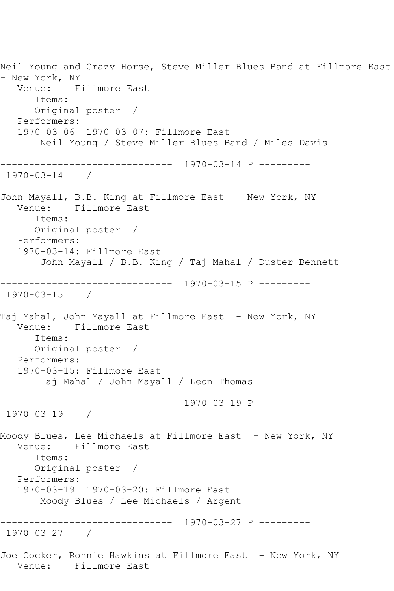Neil Young and Crazy Horse, Steve Miller Blues Band at Fillmore East - New York, NY Venue: Fillmore East Items: Original poster / Performers: 1970-03-06 1970-03-07: Fillmore East Neil Young / Steve Miller Blues Band / Miles Davis ------------------------------ 1970-03-14 P --------- 1970-03-14 / John Mayall, B.B. King at Fillmore East - New York, NY Venue: Fillmore East Items: Original poster / Performers: 1970-03-14: Fillmore East John Mayall / B.B. King / Taj Mahal / Duster Bennett ------------------------------ 1970-03-15 P --------- 1970-03-15 / Taj Mahal, John Mayall at Fillmore East - New York, NY Venue: Fillmore East Items: Original poster / Performers: 1970-03-15: Fillmore East Taj Mahal / John Mayall / Leon Thomas ------------------------------ 1970-03-19 P --------- 1970-03-19 / Moody Blues, Lee Michaels at Fillmore East - New York, NY Venue: Fillmore East Items: Original poster / Performers: 1970-03-19 1970-03-20: Fillmore East Moody Blues / Lee Michaels / Argent ------------------------------ 1970-03-27 P --------- 1970-03-27 / Joe Cocker, Ronnie Hawkins at Fillmore East - New York, NY Venue: Fillmore East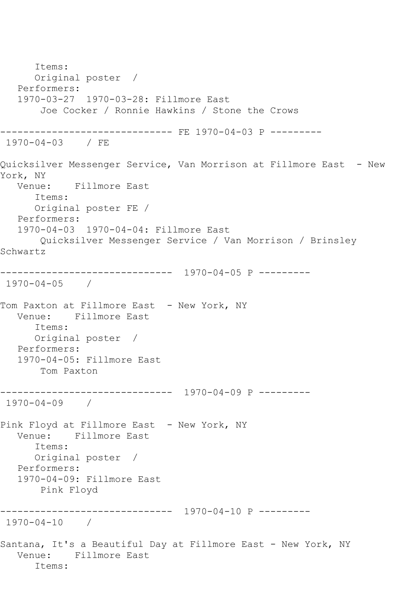Items: Original poster / Performers: 1970-03-27 1970-03-28: Fillmore East Joe Cocker / Ronnie Hawkins / Stone the Crows ------------------------------ FE 1970-04-03 P --------- 1970-04-03 / FE Quicksilver Messenger Service, Van Morrison at Fillmore East - New York, NY Venue: Fillmore East Items: Original poster FE / Performers: 1970-04-03 1970-04-04: Fillmore East Quicksilver Messenger Service / Van Morrison / Brinsley Schwartz ------------------------------ 1970-04-05 P --------- 1970-04-05 / Tom Paxton at Fillmore East - New York, NY Venue: Fillmore East Items: Original poster / Performers: 1970-04-05: Fillmore East Tom Paxton ------------------------------ 1970-04-09 P --------- 1970-04-09 / Pink Floyd at Fillmore East - New York, NY Venue: Fillmore East Items: Original poster / Performers: 1970-04-09: Fillmore East Pink Floyd ------------------------------ 1970-04-10 P --------- 1970-04-10 / Santana, It's a Beautiful Day at Fillmore East - New York, NY Venue: Fillmore East Items: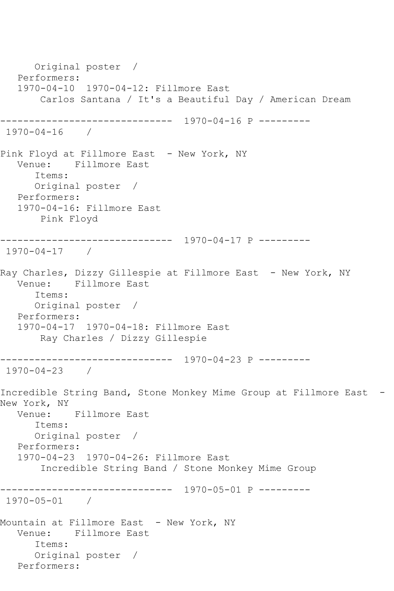Original poster / Performers: 1970-04-10 1970-04-12: Fillmore East Carlos Santana / It's a Beautiful Day / American Dream ------------------------------ 1970-04-16 P --------- 1970-04-16 / Pink Floyd at Fillmore East - New York, NY Venue: Fillmore East Items: Original poster / Performers: 1970-04-16: Fillmore East Pink Floyd ------------------------------ 1970-04-17 P --------- 1970-04-17 / Ray Charles, Dizzy Gillespie at Fillmore East – New York, NY<br>Venue: Fillmore East Fillmore East Items: Original poster / Performers: 1970-04-17 1970-04-18: Fillmore East Ray Charles / Dizzy Gillespie ------------------------------ 1970-04-23 P --------- 1970-04-23 / Incredible String Band, Stone Monkey Mime Group at Fillmore East -New York, NY Venue: Fillmore East Items: Original poster / Performers: 1970-04-23 1970-04-26: Fillmore East Incredible String Band / Stone Monkey Mime Group ------------------------------ 1970-05-01 P --------- 1970-05-01 / Mountain at Fillmore East - New York, NY Venue: Fillmore East Items: Original poster / Performers: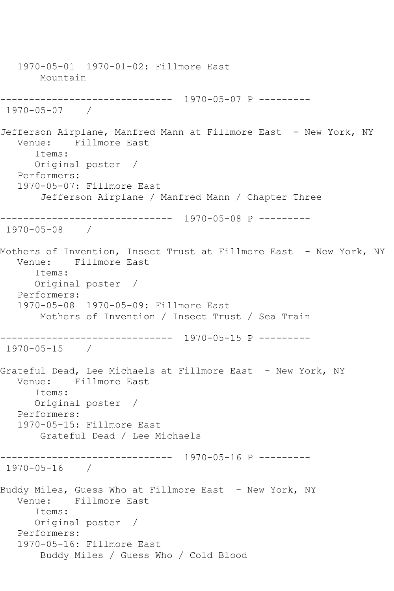1970-05-01 1970-01-02: Fillmore East Mountain ------------------------------ 1970-05-07 P --------- 1970-05-07 / Jefferson Airplane, Manfred Mann at Fillmore East - New York, NY<br>Venue: Fillmore East Fillmore East Items: Original poster / Performers: 1970-05-07: Fillmore East Jefferson Airplane / Manfred Mann / Chapter Three ------------------------------ 1970-05-08 P --------- 1970-05-08 / Mothers of Invention, Insect Trust at Fillmore East - New York, NY Venue: Fillmore East Items: Original poster / Performers: 1970-05-08 1970-05-09: Fillmore East Mothers of Invention / Insect Trust / Sea Train ------------------------------ 1970-05-15 P --------- 1970-05-15 / Grateful Dead, Lee Michaels at Fillmore East - New York, NY Venue: Fillmore East Items: Original poster / Performers: 1970-05-15: Fillmore East Grateful Dead / Lee Michaels ------------------------------ 1970-05-16 P --------- 1970-05-16 / Buddy Miles, Guess Who at Fillmore East - New York, NY Venue: Fillmore East Items: Original poster / Performers: 1970-05-16: Fillmore East Buddy Miles / Guess Who / Cold Blood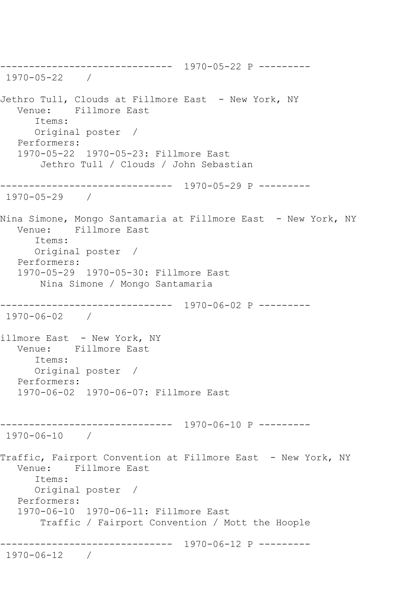------------------------------ 1970-05-22 P --------- 1970-05-22 / Jethro Tull, Clouds at Fillmore East - New York, NY<br>Venue: Fillmore East Fillmore East Items: Original poster / Performers: 1970-05-22 1970-05-23: Fillmore East Jethro Tull / Clouds / John Sebastian ------------------------------ 1970-05-29 P --------- 1970-05-29 / Nina Simone, Mongo Santamaria at Fillmore East – New York, NY Venue: Fillmore East Items: Original poster / Performers: 1970-05-29 1970-05-30: Fillmore East Nina Simone / Mongo Santamaria ------------------------------ 1970-06-02 P --------- 1970-06-02 / illmore East - New York, NY Venue: Fillmore East Items: Original poster / Performers: 1970-06-02 1970-06-07: Fillmore East ------------------------------ 1970-06-10 P --------- 1970-06-10 / Traffic, Fairport Convention at Fillmore East - New York, NY Venue: Fillmore East Items: Original poster / Performers: 1970-06-10 1970-06-11: Fillmore East Traffic / Fairport Convention / Mott the Hoople ------------------------------ 1970-06-12 P --------- 1970-06-12 /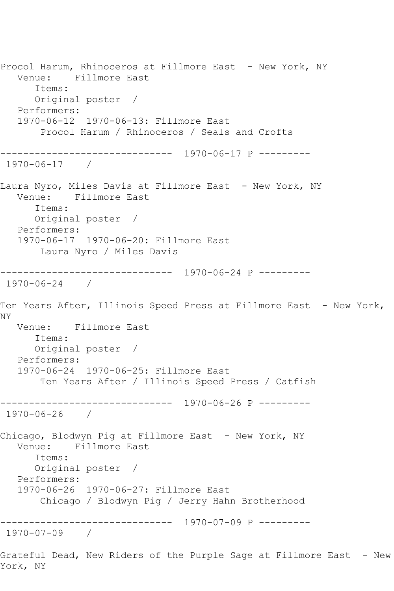Procol Harum, Rhinoceros at Fillmore East - New York, NY Venue: Fillmore East Items: Original poster / Performers: 1970-06-12 1970-06-13: Fillmore East Procol Harum / Rhinoceros / Seals and Crofts ------------------------------ 1970-06-17 P --------- 1970-06-17 / Laura Nyro, Miles Davis at Fillmore East - New York, NY Venue: Fillmore East Items: Original poster / Performers: 1970-06-17 1970-06-20: Fillmore East Laura Nyro / Miles Davis ------------------------------ 1970-06-24 P --------- 1970-06-24 / Ten Years After, Illinois Speed Press at Fillmore East - New York, NY Venue: Fillmore East Items: Original poster / Performers: 1970-06-24 1970-06-25: Fillmore East Ten Years After / Illinois Speed Press / Catfish ------------------------------ 1970-06-26 P --------- 1970-06-26 / Chicago, Blodwyn Pig at Fillmore East - New York, NY Venue: Fillmore East Items: Original poster / Performers: 1970-06-26 1970-06-27: Fillmore East Chicago / Blodwyn Pig / Jerry Hahn Brotherhood ------------------------------ 1970-07-09 P --------- 1970-07-09 / Grateful Dead, New Riders of the Purple Sage at Fillmore East - New York, NY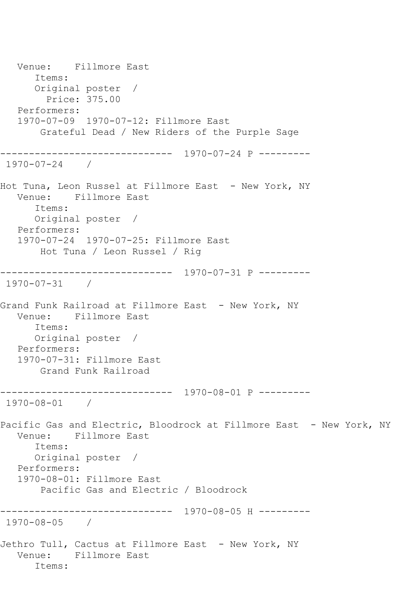Venue: Fillmore East Items: Original poster / Price: 375.00 Performers: 1970-07-09 1970-07-12: Fillmore East Grateful Dead / New Riders of the Purple Sage ------------------------------ 1970-07-24 P --------- 1970-07-24 / Hot Tuna, Leon Russel at Fillmore East - New York, NY Venue: Fillmore East Items: Original poster / Performers: 1970-07-24 1970-07-25: Fillmore East Hot Tuna / Leon Russel / Rig ------------------------------ 1970-07-31 P --------- 1970-07-31 / Grand Funk Railroad at Fillmore East - New York, NY Venue: Fillmore East Items: Original poster / Performers: 1970-07-31: Fillmore East Grand Funk Railroad ------------------------------ 1970-08-01 P --------- 1970-08-01 / Pacific Gas and Electric, Bloodrock at Fillmore East - New York, NY Venue: Fillmore East Items: Original poster / Performers: 1970-08-01: Fillmore East Pacific Gas and Electric / Bloodrock ------------------------------ 1970-08-05 H --------- 1970-08-05 / Jethro Tull, Cactus at Fillmore East - New York, NY Venue: Fillmore East Items: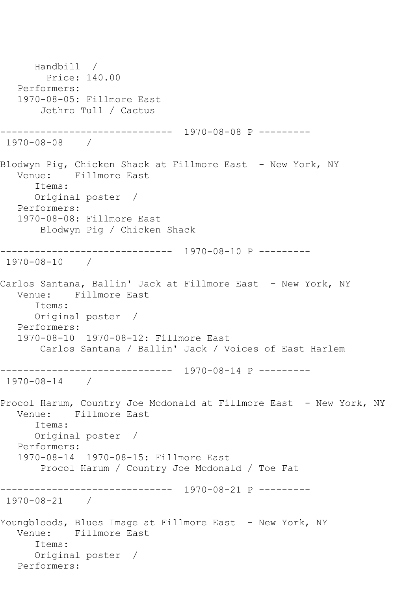Handbill / Price: 140.00 Performers: 1970-08-05: Fillmore East Jethro Tull / Cactus ------------------------------ 1970-08-08 P --------- 1970-08-08 / Blodwyn Pig, Chicken Shack at Fillmore East - New York, NY<br>Venue: Fillmore East Fillmore East Items: Original poster / Performers: 1970-08-08: Fillmore East Blodwyn Pig / Chicken Shack ------------------------------ 1970-08-10 P --------- 1970-08-10 / Carlos Santana, Ballin' Jack at Fillmore East - New York, NY Venue: Fillmore East Items: Original poster / Performers: 1970-08-10 1970-08-12: Fillmore East Carlos Santana / Ballin' Jack / Voices of East Harlem ------------------------------ 1970-08-14 P --------- 1970-08-14 / Procol Harum, Country Joe Mcdonald at Fillmore East - New York, NY Venue: Fillmore East Items: Original poster / Performers: 1970-08-14 1970-08-15: Fillmore East Procol Harum / Country Joe Mcdonald / Toe Fat ------------------------------ 1970-08-21 P --------- 1970-08-21 / Youngbloods, Blues Image at Fillmore East - New York, NY Venue: Fillmore East Items: Original poster / Performers: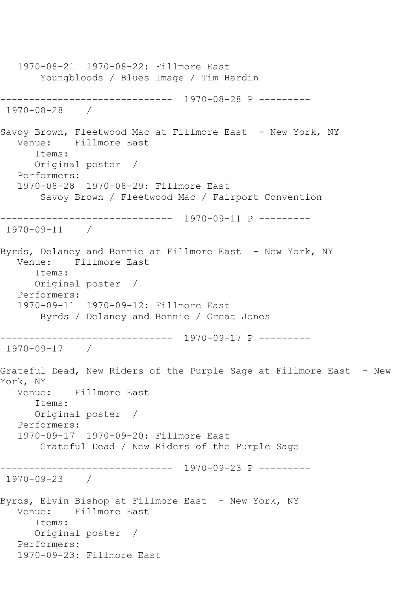1970-08-21 1970-08-22: Fillmore East Youngbloods / Blues Image / Tim Hardin ------------------------------ 1970-08-28 P --------- 1970-08-28 / Savoy Brown, Fleetwood Mac at Fillmore East - New York, NY<br>Venue: Fillmore East Fillmore East Items: Original poster / Performers: 1970-08-28 1970-08-29: Fillmore East Savoy Brown / Fleetwood Mac / Fairport Convention ------------------------------ 1970-09-11 P --------- 1970-09-11 / Byrds, Delaney and Bonnie at Fillmore East - New York, NY Venue: Fillmore East Items: Original poster / Performers: 1970-09-11 1970-09-12: Fillmore East Byrds / Delaney and Bonnie / Great Jones ------------------------------ 1970-09-17 P --------- 1970-09-17 / Grateful Dead, New Riders of the Purple Sage at Fillmore East - New York, NY Venue: Fillmore East Items: Original poster / Performers: 1970-09-17 1970-09-20: Fillmore East Grateful Dead / New Riders of the Purple Sage ------------------------------ 1970-09-23 P --------- 1970-09-23 / Byrds, Elvin Bishop at Fillmore East - New York, NY Venue: Fillmore East Items: Original poster / Performers: 1970-09-23: Fillmore East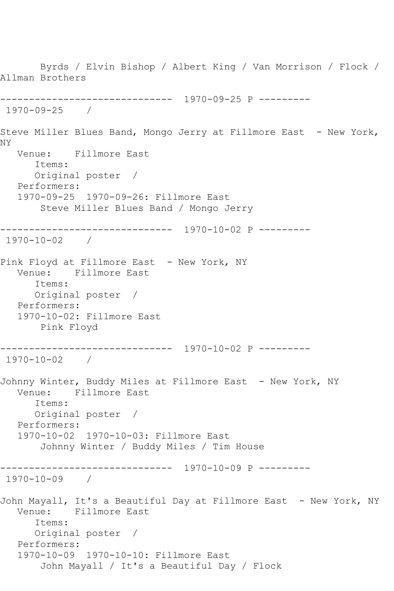Byrds / Elvin Bishop / Albert King / Van Morrison / Flock / Allman Brothers ------------------------------ 1970-09-25 P --------- 1970-09-25 / Steve Miller Blues Band, Mongo Jerry at Fillmore East - New York, NY Venue: Fillmore East Items: Original poster / Performers: 1970-09-25 1970-09-26: Fillmore East Steve Miller Blues Band / Mongo Jerry ------------------------------ 1970-10-02 P --------- 1970-10-02 / Pink Floyd at Fillmore East - New York, NY Venue: Fillmore East Items: Original poster / Performers: 1970-10-02: Fillmore East Pink Floyd ------------------------------ 1970-10-02 P --------- 1970-10-02 / Johnny Winter, Buddy Miles at Fillmore East - New York, NY Venue: Fillmore East Items: Original poster / Performers: 1970-10-02 1970-10-03: Fillmore East Johnny Winter / Buddy Miles / Tim House ------------------------------ 1970-10-09 P --------- 1970-10-09 / John Mayall, It's a Beautiful Day at Fillmore East - New York, NY Venue: Fillmore East Items: Original poster / Performers: 1970-10-09 1970-10-10: Fillmore East John Mayall / It's a Beautiful Day / Flock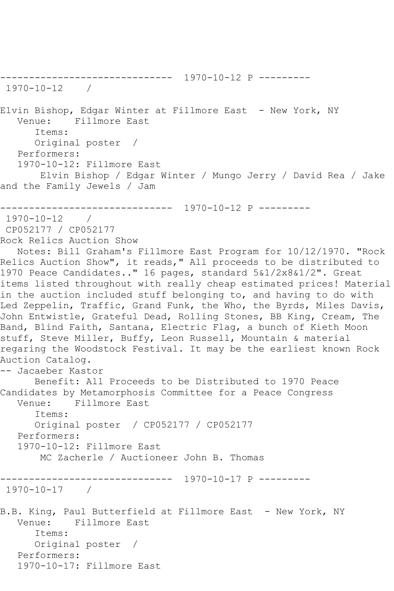```
------------------------------ 1970-10-12 P ---------
1970-10-12 / 
Elvin Bishop, Edgar Winter at Fillmore East - New York, NY
   Venue: Fillmore East
      Items:
      Original poster / 
   Performers:
   1970-10-12: Fillmore East
       Elvin Bishop / Edgar Winter / Mungo Jerry / David Rea / Jake 
and the Family Jewels / Jam
------------------------------ 1970-10-12 P ---------
1970-10-12 / 
CP052177 / CP052177
Rock Relics Auction Show
   Notes: Bill Graham's Fillmore East Program for 10/12/1970. "Rock 
Relics Auction Show", it reads," All proceeds to be distributed to
1970 Peace Candidates.." 16 pages, standard 5&1/2x8&1/2". Great 
items listed throughout with really cheap estimated prices! Material 
in the auction included stuff belonging to, and having to do with 
Led Zeppelin, Traffic, Grand Funk, the Who, the Byrds, Miles Davis, 
John Entwistle, Grateful Dead, Rolling Stones, BB King, Cream, The 
Band, Blind Faith, Santana, Electric Flag, a bunch of Kieth Moon 
stuff, Steve Miller, Buffy, Leon Russell, Mountain & material 
regaring the Woodstock Festival. It may be the earliest known Rock 
Auction Catalog.
-- Jacaeber Kastor
      Benefit: All Proceeds to be Distributed to 1970 Peace 
Candidates by Metamorphosis Committee for a Peace Congress
   Venue: Fillmore East
      Items:
      Original poster / CP052177 / CP052177
   Performers:
   1970-10-12: Fillmore East
       MC Zacherle / Auctioneer John B. Thomas
  ------------------------------ 1970-10-17 P ---------
1970-10-17 / 
B.B. King, Paul Butterfield at Fillmore East - New York, NY
   Venue: Fillmore East
      Items:
      Original poster / 
   Performers:
   1970-10-17: Fillmore East
```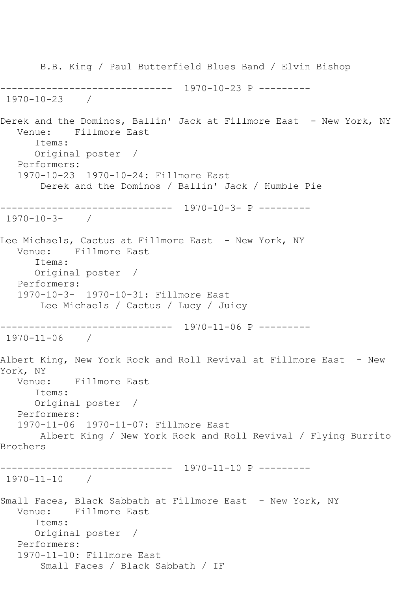B.B. King / Paul Butterfield Blues Band / Elvin Bishop ------------------------------ 1970-10-23 P --------- 1970-10-23 / Derek and the Dominos, Ballin' Jack at Fillmore East - New York, NY Venue: Fillmore East Items: Original poster / Performers: 1970-10-23 1970-10-24: Fillmore East Derek and the Dominos / Ballin' Jack / Humble Pie ------------------------------ 1970-10-3- P --------- 1970-10-3- / Lee Michaels, Cactus at Fillmore East – New York, NY Venue: Fillmore East Items: Original poster / Performers: 1970-10-3- 1970-10-31: Fillmore East Lee Michaels / Cactus / Lucy / Juicy ------------------------------ 1970-11-06 P --------- 1970-11-06 / Albert King, New York Rock and Roll Revival at Fillmore East - New York, NY Venue: Fillmore East Items: Original poster / Performers: 1970-11-06 1970-11-07: Fillmore East Albert King / New York Rock and Roll Revival / Flying Burrito Brothers ------------------------------ 1970-11-10 P --------- 1970-11-10 / Small Faces, Black Sabbath at Fillmore East - New York, NY Venue: Fillmore East Items: Original poster / Performers: 1970-11-10: Fillmore East Small Faces / Black Sabbath / IF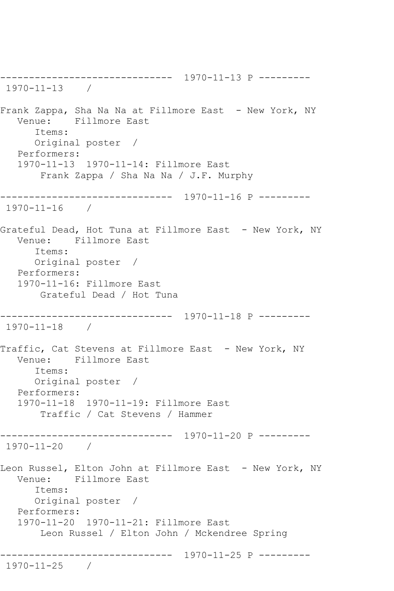------------------------------ 1970-11-13 P --------- 1970-11-13 / Frank Zappa, Sha Na Na at Fillmore East - New York, NY Venue: Fillmore East Items: Original poster / Performers: 1970-11-13 1970-11-14: Fillmore East Frank Zappa / Sha Na Na / J.F. Murphy ------------------------------ 1970-11-16 P --------- 1970-11-16 / Grateful Dead, Hot Tuna at Fillmore East - New York, NY Venue: Fillmore East Items: Original poster / Performers: 1970-11-16: Fillmore East Grateful Dead / Hot Tuna ------------------------------ 1970-11-18 P --------- 1970-11-18 / Traffic, Cat Stevens at Fillmore East - New York, NY Venue: Fillmore East Items: Original poster / Performers: 1970-11-18 1970-11-19: Fillmore East Traffic / Cat Stevens / Hammer ------------------------------ 1970-11-20 P --------- 1970-11-20 / Leon Russel, Elton John at Fillmore East - New York, NY Venue: Fillmore East Items: Original poster / Performers: 1970-11-20 1970-11-21: Fillmore East Leon Russel / Elton John / Mckendree Spring ------------------------------ 1970-11-25 P --------- 1970-11-25 /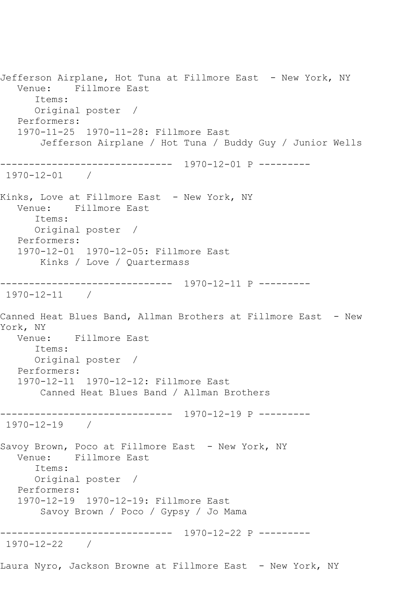Jefferson Airplane, Hot Tuna at Fillmore East - New York, NY Venue: Fillmore East Items: Original poster / Performers: 1970-11-25 1970-11-28: Fillmore East Jefferson Airplane / Hot Tuna / Buddy Guy / Junior Wells ------------------------------ 1970-12-01 P --------- 1970-12-01 / Kinks, Love at Fillmore East - New York, NY Venue: Fillmore East Items: Original poster / Performers: 1970-12-01 1970-12-05: Fillmore East Kinks / Love / Quartermass ------------------------------ 1970-12-11 P --------- 1970-12-11 / Canned Heat Blues Band, Allman Brothers at Fillmore East - New York, NY Venue: Fillmore East Items: Original poster / Performers: 1970-12-11 1970-12-12: Fillmore East Canned Heat Blues Band / Allman Brothers ------------------------------ 1970-12-19 P --------- 1970-12-19 / Savoy Brown, Poco at Fillmore East - New York, NY<br>Venue: Fillmore East Fillmore East Items: Original poster / Performers: 1970-12-19 1970-12-19: Fillmore East Savoy Brown / Poco / Gypsy / Jo Mama ------------------------------ 1970-12-22 P --------- 1970-12-22 / Laura Nyro, Jackson Browne at Fillmore East - New York, NY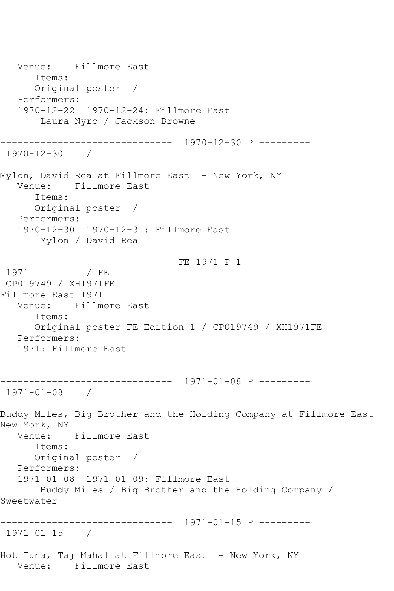Venue: Fillmore East Items: Original poster / Performers: 1970-12-22 1970-12-24: Fillmore East Laura Nyro / Jackson Browne ------------------------------ 1970-12-30 P --------- 1970-12-30 / Mylon, David Rea at Fillmore East - New York, NY Venue: Fillmore East Items: Original poster / Performers: 1970-12-30 1970-12-31: Fillmore East Mylon / David Rea --------------------------------- FE 1971 P-1 ---------<br>1971 / FE 1971 / FE CP019749 / XH1971FE Fillmore East 1971 Venue: Fillmore East Items: Original poster FE Edition 1 / CP019749 / XH1971FE Performers: 1971: Fillmore East ------------------------------ 1971-01-08 P --------- 1971-01-08 / Buddy Miles, Big Brother and the Holding Company at Fillmore East -New York, NY Venue: Fillmore East Items: Original poster / Performers: 1971-01-08 1971-01-09: Fillmore East Buddy Miles / Big Brother and the Holding Company / Sweetwater ------------------------------ 1971-01-15 P --------- 1971-01-15 / Hot Tuna, Taj Mahal at Fillmore East - New York, NY Venue: Fillmore East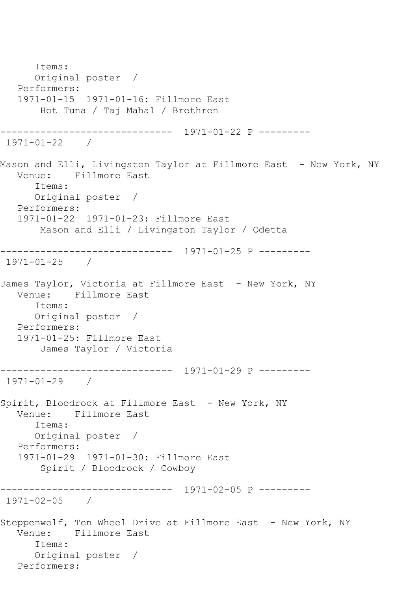Items: Original poster / Performers: 1971-01-15 1971-01-16: Fillmore East Hot Tuna / Taj Mahal / Brethren ------------------------------ 1971-01-22 P --------- 1971-01-22 / Mason and Elli, Livingston Taylor at Fillmore East – New York, NY<br>Venue: Fillmore East Fillmore East Items: Original poster / Performers: 1971-01-22 1971-01-23: Fillmore East Mason and Elli / Livingston Taylor / Odetta ------------------------------ 1971-01-25 P --------- 1971-01-25 / James Taylor, Victoria at Fillmore East - New York, NY Venue: Fillmore East Items: Original poster / Performers: 1971-01-25: Fillmore East James Taylor / Victoria ------------------------------ 1971-01-29 P --------- 1971-01-29 / Spirit, Bloodrock at Fillmore East - New York, NY Venue: Fillmore East Items: Original poster / Performers: 1971-01-29 1971-01-30: Fillmore East Spirit / Bloodrock / Cowboy ------------------------------ 1971-02-05 P --------- 1971-02-05 / Steppenwolf, Ten Wheel Drive at Fillmore East - New York, NY Venue: Fillmore East Items: Original poster / Performers: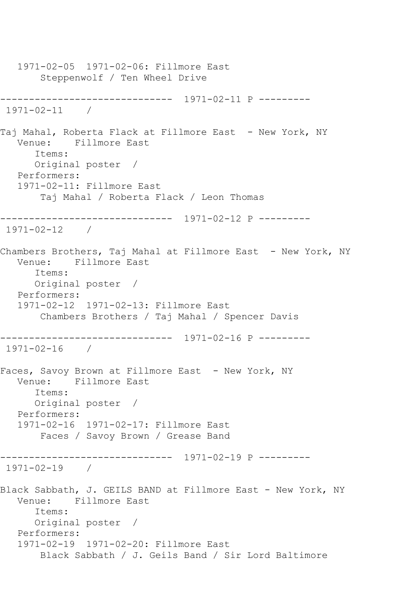1971-02-05 1971-02-06: Fillmore East Steppenwolf / Ten Wheel Drive ------------------------------ 1971-02-11 P --------- 1971-02-11 / Taj Mahal, Roberta Flack at Fillmore East - New York, NY Venue: Fillmore East Items: Original poster / Performers: 1971-02-11: Fillmore East Taj Mahal / Roberta Flack / Leon Thomas ------------------------------ 1971-02-12 P --------- 1971-02-12 / Chambers Brothers, Taj Mahal at Fillmore East - New York, NY<br>Venue: Fillmore East Fillmore East Items: Original poster / Performers: 1971-02-12 1971-02-13: Fillmore East Chambers Brothers / Taj Mahal / Spencer Davis ------------------------------ 1971-02-16 P --------- 1971-02-16 / Faces, Savoy Brown at Fillmore East - New York, NY Venue: Fillmore East Items: Original poster / Performers: 1971-02-16 1971-02-17: Fillmore East Faces / Savoy Brown / Grease Band ------------------------------ 1971-02-19 P --------- 1971-02-19 / Black Sabbath, J. GEILS BAND at Fillmore East - New York, NY Venue: Fillmore East Items: Original poster / Performers: 1971-02-19 1971-02-20: Fillmore East Black Sabbath / J. Geils Band / Sir Lord Baltimore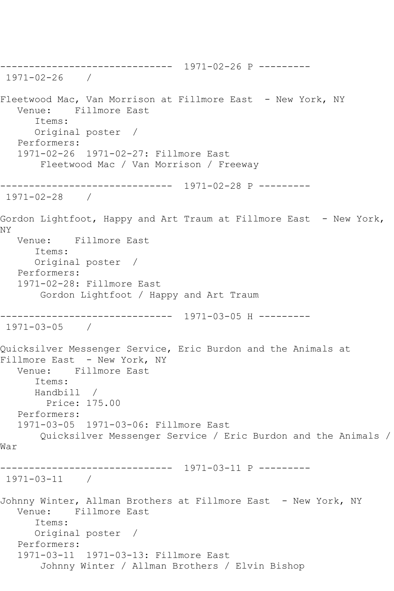------------------------------ 1971-02-26 P --------- 1971-02-26 / Fleetwood Mac, Van Morrison at Fillmore East - New York, NY Venue: Fillmore East Items: Original poster / Performers: 1971-02-26 1971-02-27: Fillmore East Fleetwood Mac / Van Morrison / Freeway ------------------------------ 1971-02-28 P --------- 1971-02-28 / Gordon Lightfoot, Happy and Art Traum at Fillmore East - New York, NY Venue: Fillmore East Items: Original poster / Performers: 1971-02-28: Fillmore East Gordon Lightfoot / Happy and Art Traum ------------------------------ 1971-03-05 H --------- 1971-03-05 / Quicksilver Messenger Service, Eric Burdon and the Animals at Fillmore East - New York, NY Venue: Fillmore East Items: Handbill / Price: 175.00 Performers: 1971-03-05 1971-03-06: Fillmore East Quicksilver Messenger Service / Eric Burdon and the Animals / War ------------------------------ 1971-03-11 P --------- 1971-03-11 / Johnny Winter, Allman Brothers at Fillmore East - New York, NY Venue: Fillmore East Items: Original poster / Performers: 1971-03-11 1971-03-13: Fillmore East Johnny Winter / Allman Brothers / Elvin Bishop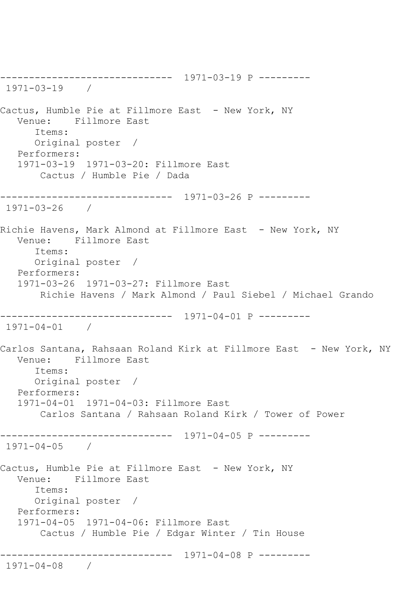------------------------------ 1971-03-19 P --------- 1971-03-19 / Cactus, Humble Pie at Fillmore East - New York, NY Venue: Fillmore East Items: Original poster / Performers: 1971-03-19 1971-03-20: Fillmore East Cactus / Humble Pie / Dada ------------------------------ 1971-03-26 P --------- 1971-03-26 / Richie Havens, Mark Almond at Fillmore East - New York, NY Venue: Fillmore East Items: Original poster / Performers: 1971-03-26 1971-03-27: Fillmore East Richie Havens / Mark Almond / Paul Siebel / Michael Grando ------------------------------ 1971-04-01 P --------- 1971-04-01 / Carlos Santana, Rahsaan Roland Kirk at Fillmore East - New York, NY Venue: Fillmore East Items: Original poster / Performers: 1971-04-01 1971-04-03: Fillmore East Carlos Santana / Rahsaan Roland Kirk / Tower of Power ------------------------------ 1971-04-05 P --------- 1971-04-05 / Cactus, Humble Pie at Fillmore East - New York, NY Venue: Fillmore East Items: Original poster / Performers: 1971-04-05 1971-04-06: Fillmore East Cactus / Humble Pie / Edgar Winter / Tin House ------------------------------ 1971-04-08 P --------- 1971-04-08 /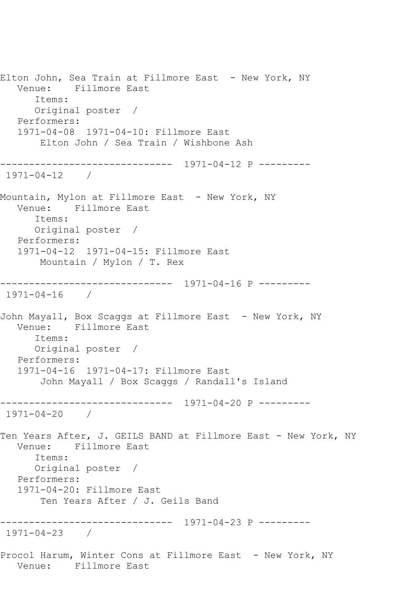Elton John, Sea Train at Fillmore East - New York, NY Venue: Fillmore East Items: Original poster / Performers: 1971-04-08 1971-04-10: Fillmore East Elton John / Sea Train / Wishbone Ash ------------------------------ 1971-04-12 P --------- 1971-04-12 / Mountain, Mylon at Fillmore East - New York, NY Venue: Fillmore East Items: Original poster / Performers: 1971-04-12 1971-04-15: Fillmore East Mountain / Mylon / T. Rex ------------------------------ 1971-04-16 P --------- 1971-04-16 / John Mayall, Box Scaggs at Fillmore East - New York, NY Venue: Fillmore East Items: Original poster / Performers: 1971-04-16 1971-04-17: Fillmore East John Mayall / Box Scaggs / Randall's Island ------------------------------ 1971-04-20 P --------- 1971-04-20 / Ten Years After, J. GEILS BAND at Fillmore East - New York, NY Venue: Fillmore East Items: Original poster / Performers: 1971-04-20: Fillmore East Ten Years After / J. Geils Band ------------------------------ 1971-04-23 P --------- 1971-04-23 / Procol Harum, Winter Cons at Fillmore East - New York, NY Venue: Fillmore East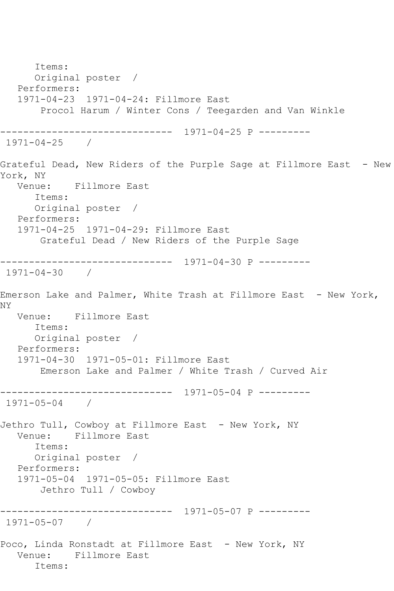Items: Original poster / Performers: 1971-04-23 1971-04-24: Fillmore East Procol Harum / Winter Cons / Teegarden and Van Winkle ------------------------------ 1971-04-25 P --------- 1971-04-25 / Grateful Dead, New Riders of the Purple Sage at Fillmore East - New York, NY Venue: Fillmore East Items: Original poster / Performers: 1971-04-25 1971-04-29: Fillmore East Grateful Dead / New Riders of the Purple Sage ------------------------------ 1971-04-30 P --------- 1971-04-30 / Emerson Lake and Palmer, White Trash at Fillmore East - New York, NY Venue: Fillmore East Items: Original poster / Performers: 1971-04-30 1971-05-01: Fillmore East Emerson Lake and Palmer / White Trash / Curved Air ------------------------------ 1971-05-04 P --------- 1971-05-04 / Jethro Tull, Cowboy at Fillmore East - New York, NY Venue: Fillmore East Items: Original poster / Performers: 1971-05-04 1971-05-05: Fillmore East Jethro Tull / Cowboy ------------------------------ 1971-05-07 P --------- 1971-05-07 / Poco, Linda Ronstadt at Fillmore East - New York, NY Venue: Fillmore East Items: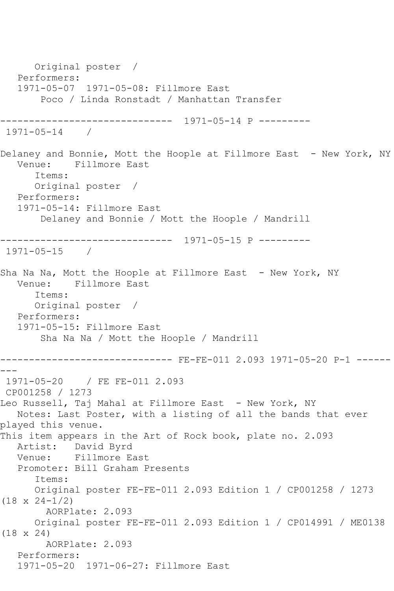Original poster / Performers: 1971-05-07 1971-05-08: Fillmore East Poco / Linda Ronstadt / Manhattan Transfer ------------------------------ 1971-05-14 P --------- 1971-05-14 / Delaney and Bonnie, Mott the Hoople at Fillmore East - New York, NY Venue: Fillmore East Items: Original poster / Performers: 1971-05-14: Fillmore East Delaney and Bonnie / Mott the Hoople / Mandrill ------------------------------ 1971-05-15 P --------- 1971-05-15 / Sha Na Na, Mott the Hoople at Fillmore East - New York, NY Venue: Fillmore East Items: Original poster / Performers: 1971-05-15: Fillmore East Sha Na Na / Mott the Hoople / Mandrill ------------------------------ FE-FE-011 2.093 1971-05-20 P-1 ------ --- 1971-05-20 / FE FE-011 2.093 CP001258 / 1273 Leo Russell, Taj Mahal at Fillmore East - New York, NY Notes: Last Poster, with a listing of all the bands that ever played this venue. This item appears in the Art of Rock book, plate no. 2.093 Artist: David Byrd Venue: Fillmore East Promoter: Bill Graham Presents Items: Original poster FE-FE-011 2.093 Edition 1 / CP001258 / 1273 (18 x 24-1/2) AORPlate: 2.093 Original poster FE-FE-011 2.093 Edition 1 / CP014991 / ME0138 (18 x 24) AORPlate: 2.093 Performers: 1971-05-20 1971-06-27: Fillmore East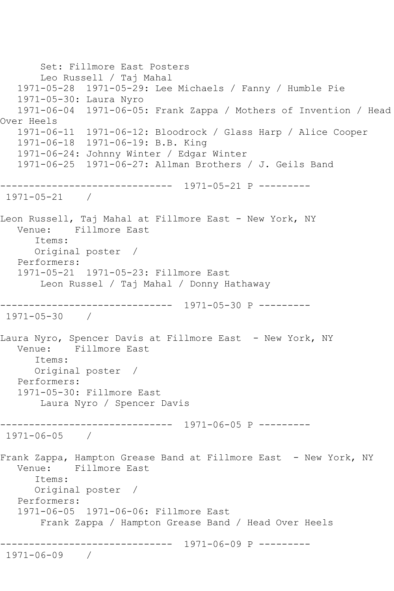```
 Set: Fillmore East Posters
        Leo Russell / Taj Mahal
   1971-05-28 1971-05-29: Lee Michaels / Fanny / Humble Pie
   1971-05-30: Laura Nyro
   1971-06-04 1971-06-05: Frank Zappa / Mothers of Invention / Head 
Over Heels
   1971-06-11 1971-06-12: Bloodrock / Glass Harp / Alice Cooper
   1971-06-18 1971-06-19: B.B. King
   1971-06-24: Johnny Winter / Edgar Winter
   1971-06-25 1971-06-27: Allman Brothers / J. Geils Band
   ------------------------------ 1971-05-21 P ---------
1971-05-21 / 
Leon Russell, Taj Mahal at Fillmore East - New York, NY
   Venue: Fillmore East
       Items:
      Original poster / 
   Performers:
   1971-05-21 1971-05-23: Fillmore East
        Leon Russel / Taj Mahal / Donny Hathaway
   ------------------------------ 1971-05-30 P ---------
1971-05-30 / 
Laura Nyro, Spencer Davis at Fillmore East - New York, NY<br>Venue: Fillmore East
           Fillmore East
       Items:
      Original poster / 
   Performers:
   1971-05-30: Fillmore East
        Laura Nyro / Spencer Davis
------------------------------ 1971-06-05 P ---------
1971-06-05 / 
Frank Zappa, Hampton Grease Band at Fillmore East - New York, NY
   Venue: Fillmore East
      Items:
       Original poster / 
   Performers:
   1971-06-05 1971-06-06: Fillmore East
        Frank Zappa / Hampton Grease Band / Head Over Heels
      ------------------------------ 1971-06-09 P ---------
1971-06-09 /
```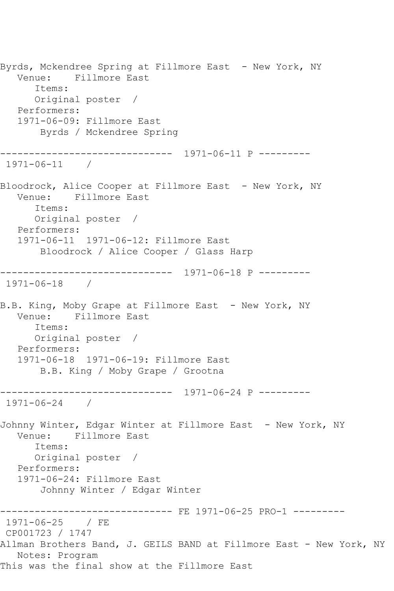Byrds, Mckendree Spring at Fillmore East - New York, NY Venue: Fillmore East Items: Original poster / Performers: 1971-06-09: Fillmore East Byrds / Mckendree Spring ------------------------------ 1971-06-11 P --------- 1971-06-11 / Bloodrock, Alice Cooper at Fillmore East - New York, NY Venue: Fillmore East Items: Original poster / Performers: 1971-06-11 1971-06-12: Fillmore East Bloodrock / Alice Cooper / Glass Harp ------------------------------ 1971-06-18 P --------- 1971-06-18 / B.B. King, Moby Grape at Fillmore East – New York, NY<br>Venue: Fillmore East Fillmore East Items: Original poster / Performers: 1971-06-18 1971-06-19: Fillmore East B.B. King / Moby Grape / Grootna ------------------------------ 1971-06-24 P --------- 1971-06-24 / Johnny Winter, Edgar Winter at Fillmore East - New York, NY Venue: Fillmore East Items: Original poster / Performers: 1971-06-24: Fillmore East Johnny Winter / Edgar Winter ------------------------------ FE 1971-06-25 PRO-1 --------- 1971-06-25 / FE CP001723 / 1747 Allman Brothers Band, J. GEILS BAND at Fillmore East - New York, NY Notes: Program This was the final show at the Fillmore East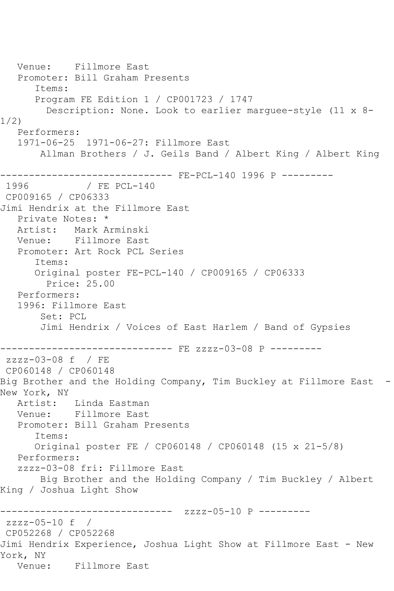Venue: Fillmore East Promoter: Bill Graham Presents Items: Program FE Edition 1 / CP001723 / 1747 Description: None. Look to earlier marguee-style (11 x 8- 1/2) Performers: 1971-06-25 1971-06-27: Fillmore East Allman Brothers / J. Geils Band / Albert King / Albert King ------------------------------ FE-PCL-140 1996 P --------- / FE PCL-140 CP009165 / CP06333 Jimi Hendrix at the Fillmore East Private Notes: \* Artist: Mark Arminski Venue: Fillmore East Promoter: Art Rock PCL Series Items: Original poster FE-PCL-140 / CP009165 / CP06333 Price: 25.00 Performers: 1996: Fillmore East Set: PCL Jimi Hendrix / Voices of East Harlem / Band of Gypsies ------------------------------ FE zzzz-03-08 P -------- zzzz-03-08 f / FE CP060148 / CP060148 Big Brother and the Holding Company, Tim Buckley at Fillmore East - New York, NY Artist: Linda Eastman Venue: Fillmore East Promoter: Bill Graham Presents Items: Original poster FE / CP060148 / CP060148 (15 x 21-5/8) Performers: zzzz-03-08 fri: Fillmore East Big Brother and the Holding Company / Tim Buckley / Albert King / Joshua Light Show ------------------------------ zzzz-05-10 P -------- zzzz-05-10 f / CP052268 / CP052268 Jimi Hendrix Experience, Joshua Light Show at Fillmore East - New York, NY Venue: Fillmore East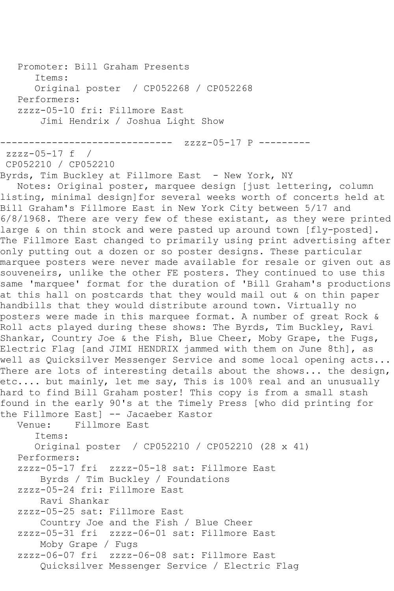```
 Promoter: Bill Graham Presents
       Items:
       Original poster / CP052268 / CP052268
   Performers:
   zzzz-05-10 fri: Fillmore East
        Jimi Hendrix / Joshua Light Show
------------------------------ zzzz-05-17 P ---------
zzzz-05-17 f / 
CP052210 / CP052210
Byrds, Tim Buckley at Fillmore East - New York, NY
   Notes: Original poster, marquee design [just lettering, column 
listing, minimal design]for several weeks worth of concerts held at 
Bill Graham's Fillmore East in New York City between 5/17 and 
6/8/1968. There are very few of these existant, as they were printed 
large & on thin stock and were pasted up around town [fly-posted].
The Fillmore East changed to primarily using print advertising after 
only putting out a dozen or so poster designs. These particular 
marquee posters were never made available for resale or given out as 
souveneirs, unlike the other FE posters. They continued to use this 
same 'marquee' format for the duration of 'Bill Graham's productions 
at this hall on postcards that they would mail out & on thin paper 
handbills that they would distribute around town. Virtually no 
posters were made in this marquee format. A number of great Rock & 
Roll acts played during these shows: The Byrds, Tim Buckley, Ravi 
Shankar, Country Joe & the Fish, Blue Cheer, Moby Grape, the Fugs,
Electric Flag [and JIMI HENDRIX jammed with them on June 8th], as 
well as Quicksilver Messenger Service and some local opening acts... 
There are lots of interesting details about the shows... the design,
etc.... but mainly, let me say, This is 100% real and an unusually 
hard to find Bill Graham poster! This copy is from a small stash 
found in the early 90's at the Timely Press [who did printing for 
the Fillmore East] -- Jacaeber Kastor<br>Venue: Fillmore East
            Fillmore East
       Items:
       Original poster / CP052210 / CP052210 (28 x 41)
   Performers:
   zzzz-05-17 fri zzzz-05-18 sat: Fillmore East
        Byrds / Tim Buckley / Foundations
   zzzz-05-24 fri: Fillmore East
        Ravi Shankar
   zzzz-05-25 sat: Fillmore East
        Country Joe and the Fish / Blue Cheer
   zzzz-05-31 fri zzzz-06-01 sat: Fillmore East
        Moby Grape / Fugs
   zzzz-06-07 fri zzzz-06-08 sat: Fillmore East
        Quicksilver Messenger Service / Electric Flag
```